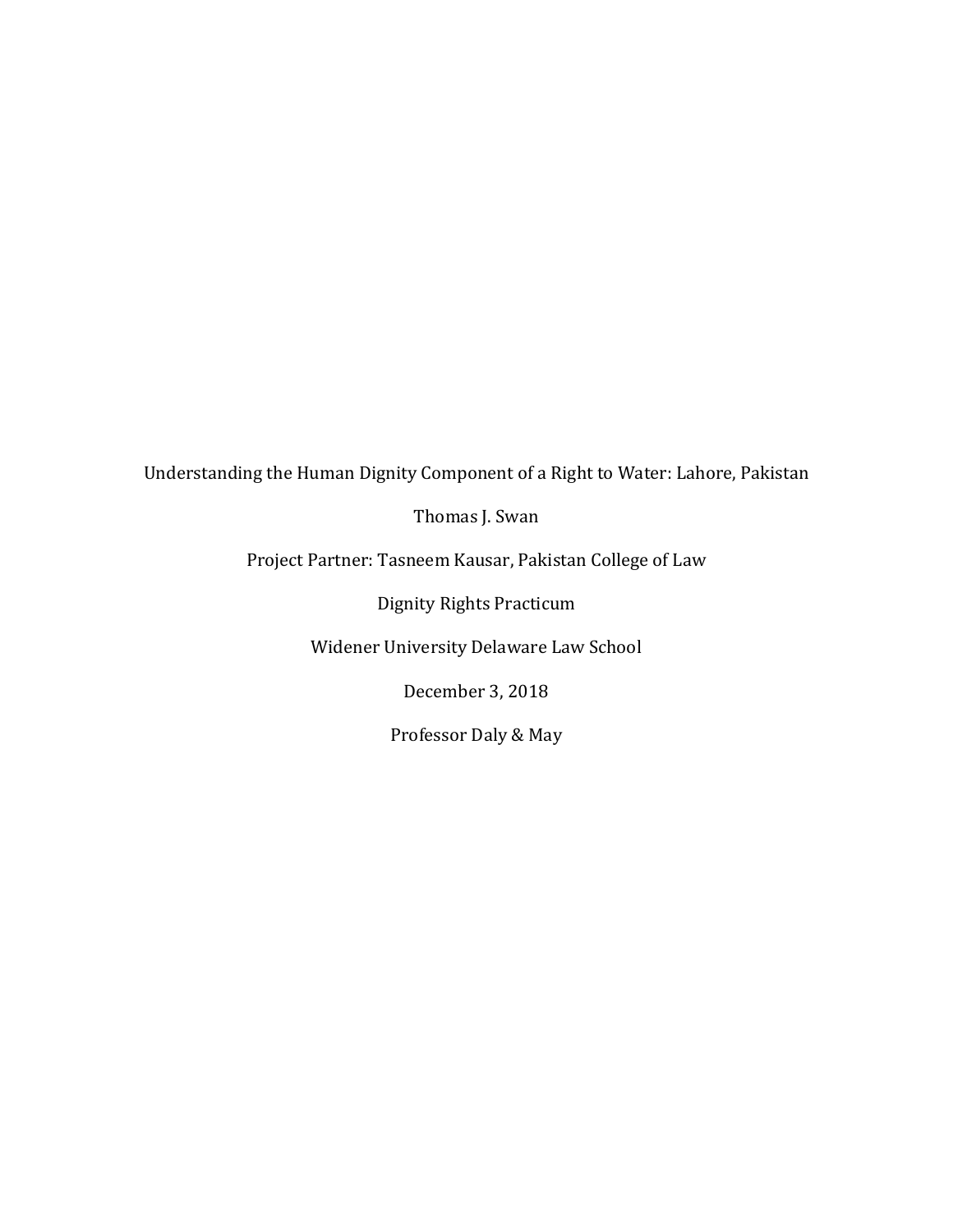Understanding the Human Dignity Component of a Right to Water: Lahore, Pakistan

Thomas J. Swan

Project Partner: Tasneem Kausar, Pakistan College of Law

Dignity Rights Practicum

Widener University Delaware Law School

December 3, 2018

Professor Daly & May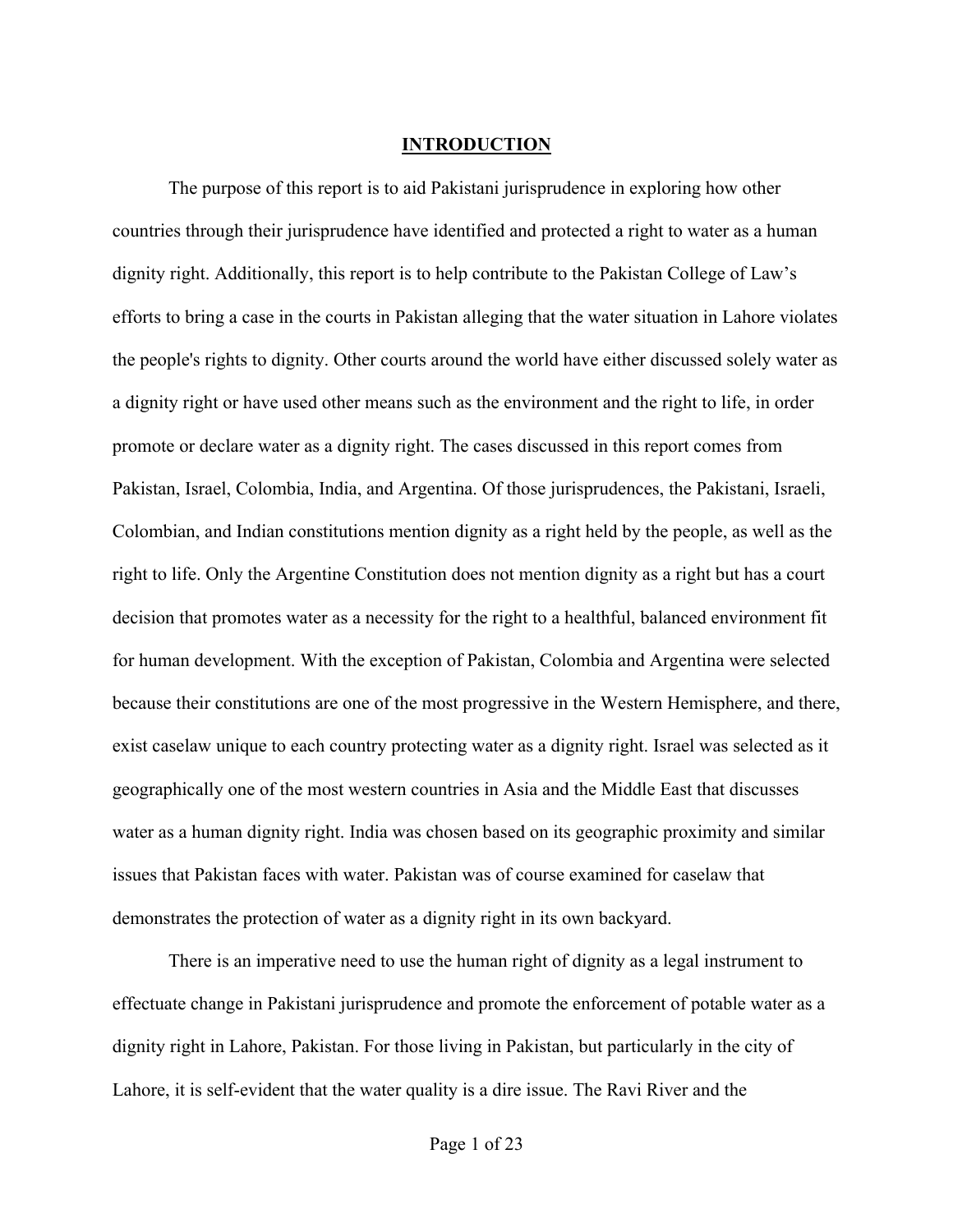## **INTRODUCTION**

The purpose of this report is to aid Pakistani jurisprudence in exploring how other countries through their jurisprudence have identified and protected a right to water as a human dignity right. Additionally, this report is to help contribute to the Pakistan College of Law's efforts to bring a case in the courts in Pakistan alleging that the water situation in Lahore violates the people's rights to dignity. Other courts around the world have either discussed solely water as a dignity right or have used other means such as the environment and the right to life, in order promote or declare water as a dignity right. The cases discussed in this report comes from Pakistan, Israel, Colombia, India, and Argentina. Of those jurisprudences, the Pakistani, Israeli, Colombian, and Indian constitutions mention dignity as a right held by the people, as well as the right to life. Only the Argentine Constitution does not mention dignity as a right but has a court decision that promotes water as a necessity for the right to a healthful, balanced environment fit for human development. With the exception of Pakistan, Colombia and Argentina were selected because their constitutions are one of the most progressive in the Western Hemisphere, and there, exist caselaw unique to each country protecting water as a dignity right. Israel was selected as it geographically one of the most western countries in Asia and the Middle East that discusses water as a human dignity right. India was chosen based on its geographic proximity and similar issues that Pakistan faces with water. Pakistan was of course examined for caselaw that demonstrates the protection of water as a dignity right in its own backyard.

There is an imperative need to use the human right of dignity as a legal instrument to effectuate change in Pakistani jurisprudence and promote the enforcement of potable water as a dignity right in Lahore, Pakistan. For those living in Pakistan, but particularly in the city of Lahore, it is self-evident that the water quality is a dire issue. The Ravi River and the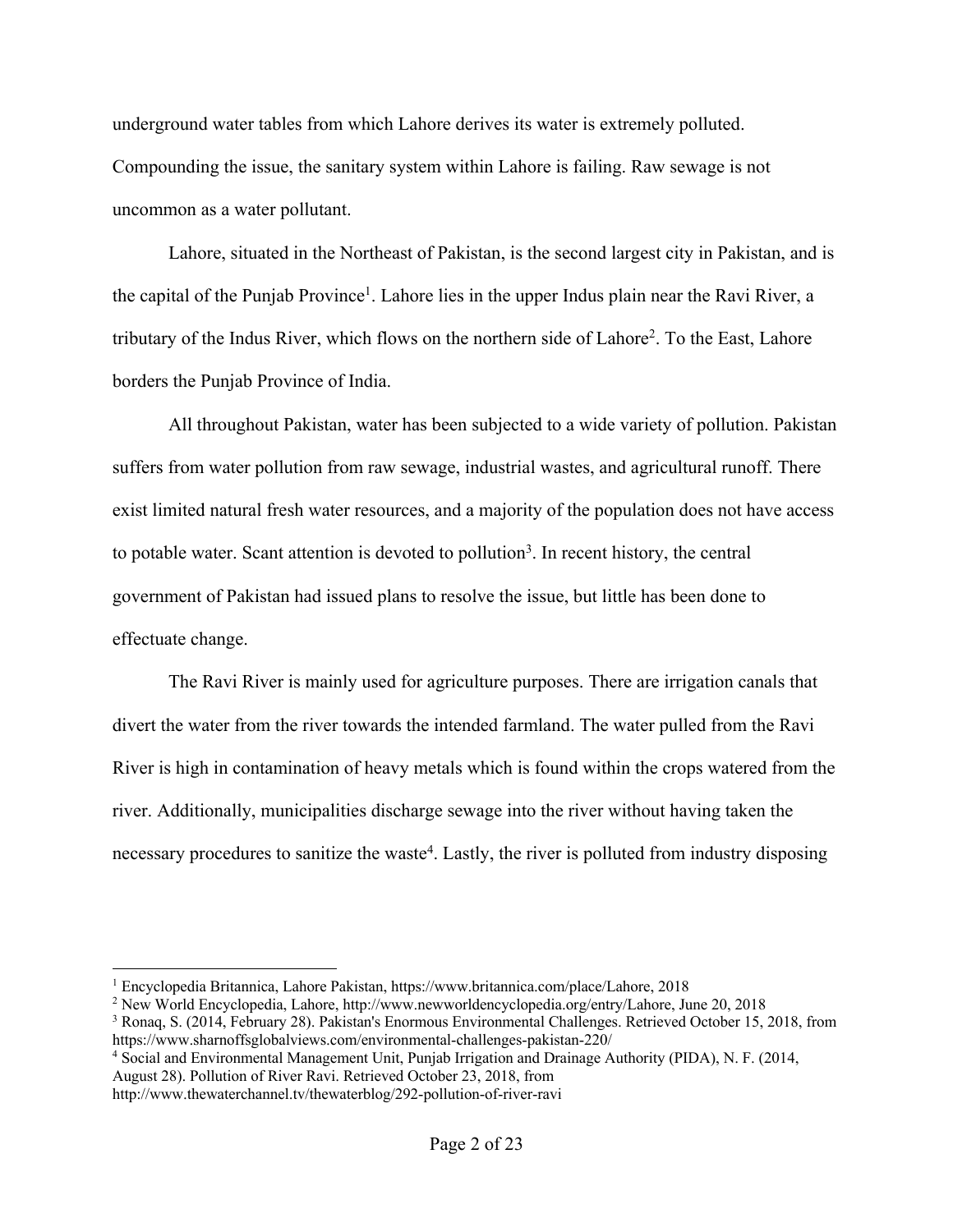underground water tables from which Lahore derives its water is extremely polluted. Compounding the issue, the sanitary system within Lahore is failing. Raw sewage is not uncommon as a water pollutant.

Lahore, situated in the Northeast of Pakistan, is the second largest city in Pakistan, and is the capital of the Punjab Province<sup>1</sup>. Lahore lies in the upper Indus plain near the Ravi River, a tributary of the Indus River, which flows on the northern side of Lahore<sup>2</sup>. To the East, Lahore borders the Punjab Province of India.

All throughout Pakistan, water has been subjected to a wide variety of pollution. Pakistan suffers from water pollution from raw sewage, industrial wastes, and agricultural runoff. There exist limited natural fresh water resources, and a majority of the population does not have access to potable water. Scant attention is devoted to pollution<sup>3</sup>. In recent history, the central government of Pakistan had issued plans to resolve the issue, but little has been done to effectuate change.

The Ravi River is mainly used for agriculture purposes. There are irrigation canals that divert the water from the river towards the intended farmland. The water pulled from the Ravi River is high in contamination of heavy metals which is found within the crops watered from the river. Additionally, municipalities discharge sewage into the river without having taken the necessary procedures to sanitize the waste<sup>4</sup>. Lastly, the river is polluted from industry disposing

<sup>4</sup> Social and Environmental Management Unit, Punjab Irrigation and Drainage Authority (PIDA), N. F. (2014, August 28). Pollution of River Ravi. Retrieved October 23, 2018, from

 <sup>1</sup> Encyclopedia Britannica, Lahore Pakistan, https://www.britannica.com/place/Lahore, 2018

<sup>2</sup> New World Encyclopedia, Lahore, http://www.newworldencyclopedia.org/entry/Lahore, June 20, 2018

<sup>3</sup> Ronaq, S. (2014, February 28). Pakistan's Enormous Environmental Challenges. Retrieved October 15, 2018, from https://www.sharnoffsglobalviews.com/environmental-challenges-pakistan-220/

http://www.thewaterchannel.tv/thewaterblog/292-pollution-of-river-ravi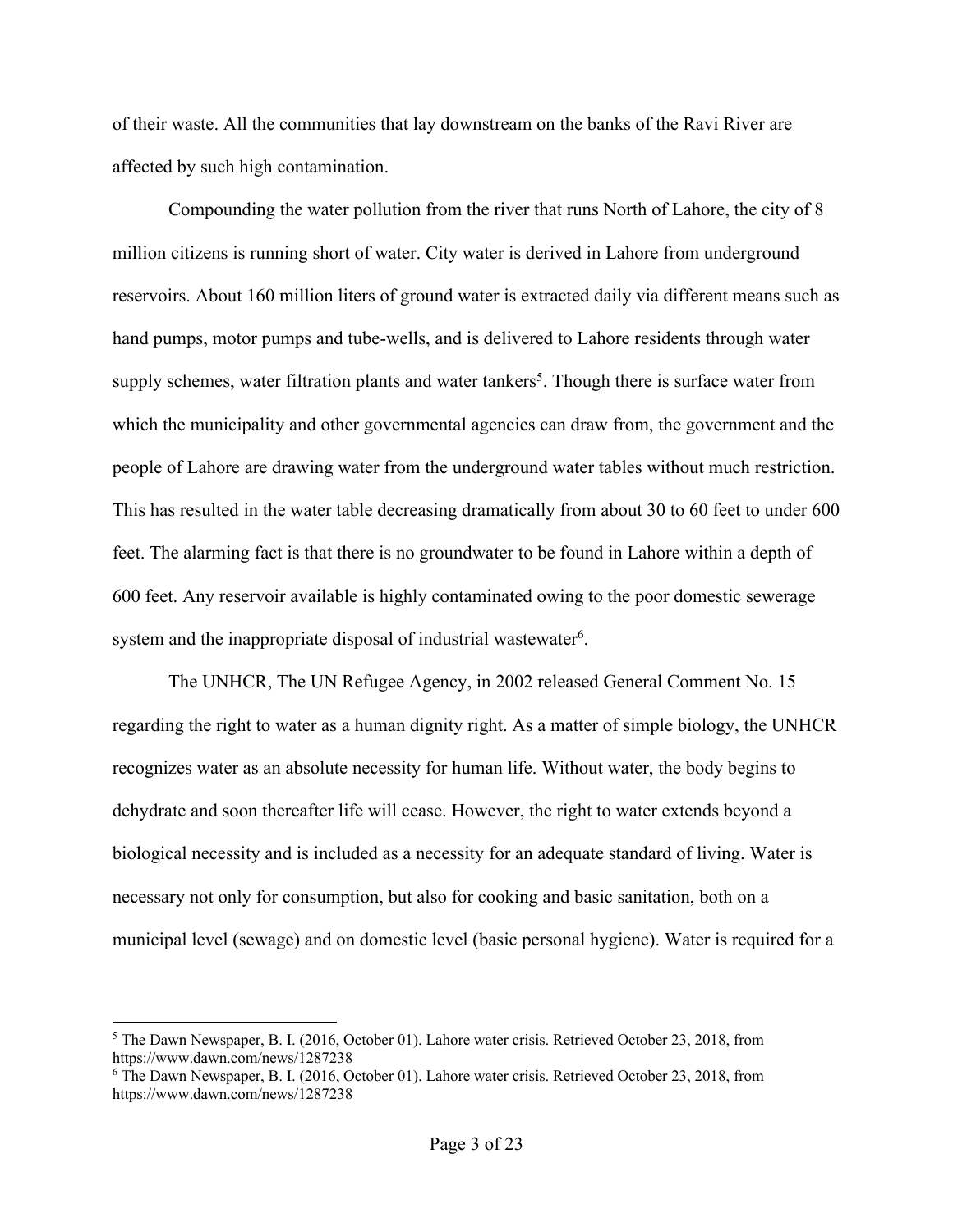of their waste. All the communities that lay downstream on the banks of the Ravi River are affected by such high contamination.

Compounding the water pollution from the river that runs North of Lahore, the city of 8 million citizens is running short of water. City water is derived in Lahore from underground reservoirs. About 160 million liters of ground water is extracted daily via different means such as hand pumps, motor pumps and tube-wells, and is delivered to Lahore residents through water supply schemes, water filtration plants and water tankers<sup>5</sup>. Though there is surface water from which the municipality and other governmental agencies can draw from, the government and the people of Lahore are drawing water from the underground water tables without much restriction. This has resulted in the water table decreasing dramatically from about 30 to 60 feet to under 600 feet. The alarming fact is that there is no groundwater to be found in Lahore within a depth of 600 feet. Any reservoir available is highly contaminated owing to the poor domestic sewerage system and the inappropriate disposal of industrial wastewater<sup>6</sup>.

The UNHCR, The UN Refugee Agency, in 2002 released General Comment No. 15 regarding the right to water as a human dignity right. As a matter of simple biology, the UNHCR recognizes water as an absolute necessity for human life. Without water, the body begins to dehydrate and soon thereafter life will cease. However, the right to water extends beyond a biological necessity and is included as a necessity for an adequate standard of living. Water is necessary not only for consumption, but also for cooking and basic sanitation, both on a municipal level (sewage) and on domestic level (basic personal hygiene). Water is required for a

 <sup>5</sup> The Dawn Newspaper, B. I. (2016, October 01). Lahore water crisis. Retrieved October 23, 2018, from https://www.dawn.com/news/1287238

<sup>6</sup> The Dawn Newspaper, B. I. (2016, October 01). Lahore water crisis. Retrieved October 23, 2018, from https://www.dawn.com/news/1287238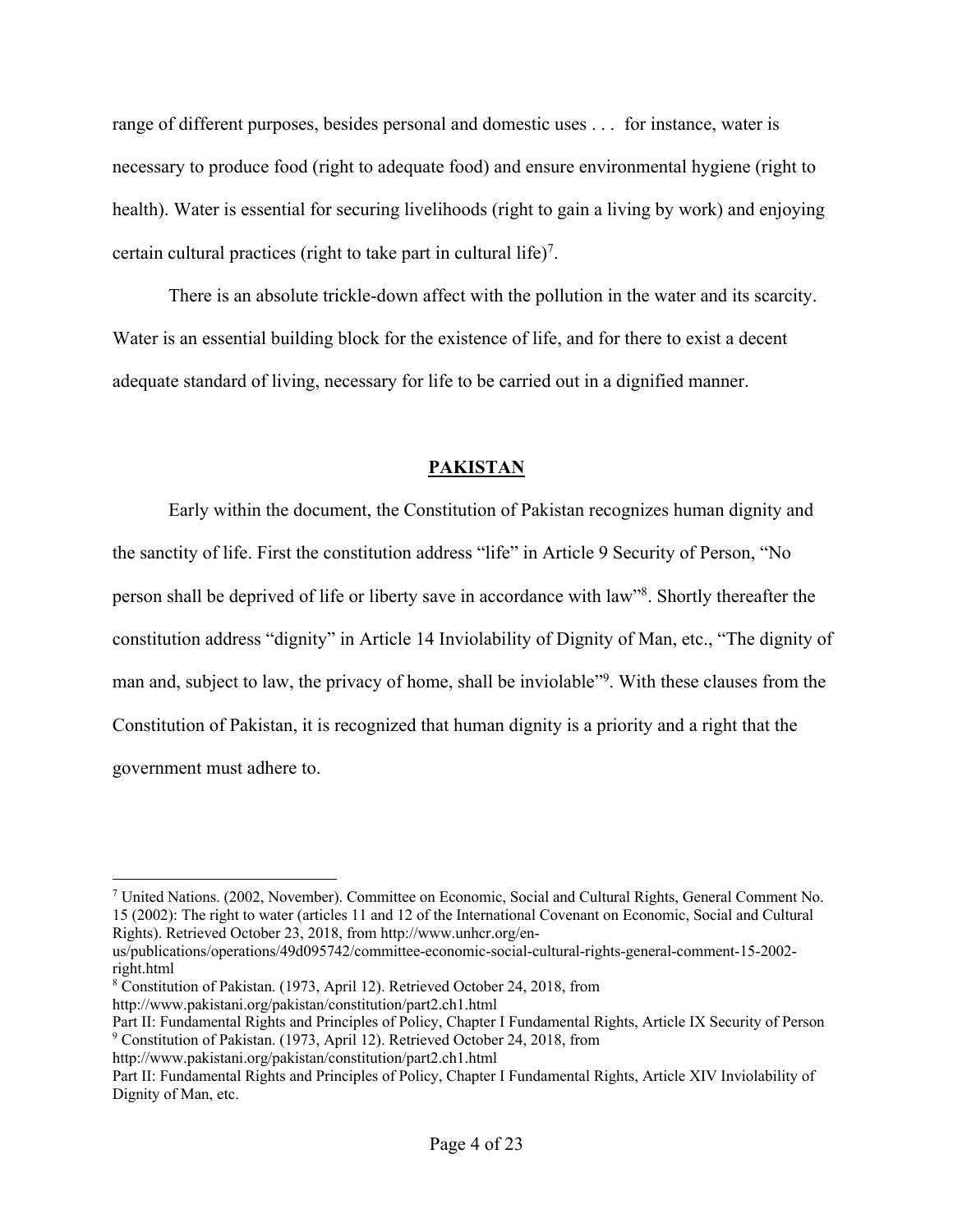range of different purposes, besides personal and domestic uses . . . for instance, water is necessary to produce food (right to adequate food) and ensure environmental hygiene (right to health). Water is essential for securing livelihoods (right to gain a living by work) and enjoying certain cultural practices (right to take part in cultural life)<sup>7</sup>.

There is an absolute trickle-down affect with the pollution in the water and its scarcity. Water is an essential building block for the existence of life, and for there to exist a decent adequate standard of living, necessary for life to be carried out in a dignified manner.

## **PAKISTAN**

Early within the document, the Constitution of Pakistan recognizes human dignity and the sanctity of life. First the constitution address "life" in Article 9 Security of Person, "No person shall be deprived of life or liberty save in accordance with law"8. Shortly thereafter the constitution address "dignity" in Article 14 Inviolability of Dignity of Man, etc., "The dignity of man and, subject to law, the privacy of home, shall be inviolable"<sup>9</sup>. With these clauses from the Constitution of Pakistan, it is recognized that human dignity is a priority and a right that the government must adhere to.

 <sup>7</sup> United Nations. (2002, November). Committee on Economic, Social and Cultural Rights, General Comment No. 15 (2002): The right to water (articles 11 and 12 of the International Covenant on Economic, Social and Cultural Rights). Retrieved October 23, 2018, from http://www.unhcr.org/en-

us/publications/operations/49d095742/committee-economic-social-cultural-rights-general-comment-15-2002 right.html

<sup>8</sup> Constitution of Pakistan. (1973, April 12). Retrieved October 24, 2018, from

http://www.pakistani.org/pakistan/constitution/part2.ch1.html

Part II: Fundamental Rights and Principles of Policy, Chapter I Fundamental Rights, Article IX Security of Person <sup>9</sup> Constitution of Pakistan. (1973, April 12). Retrieved October 24, 2018, from

http://www.pakistani.org/pakistan/constitution/part2.ch1.html

Part II: Fundamental Rights and Principles of Policy, Chapter I Fundamental Rights, Article XIV Inviolability of Dignity of Man, etc.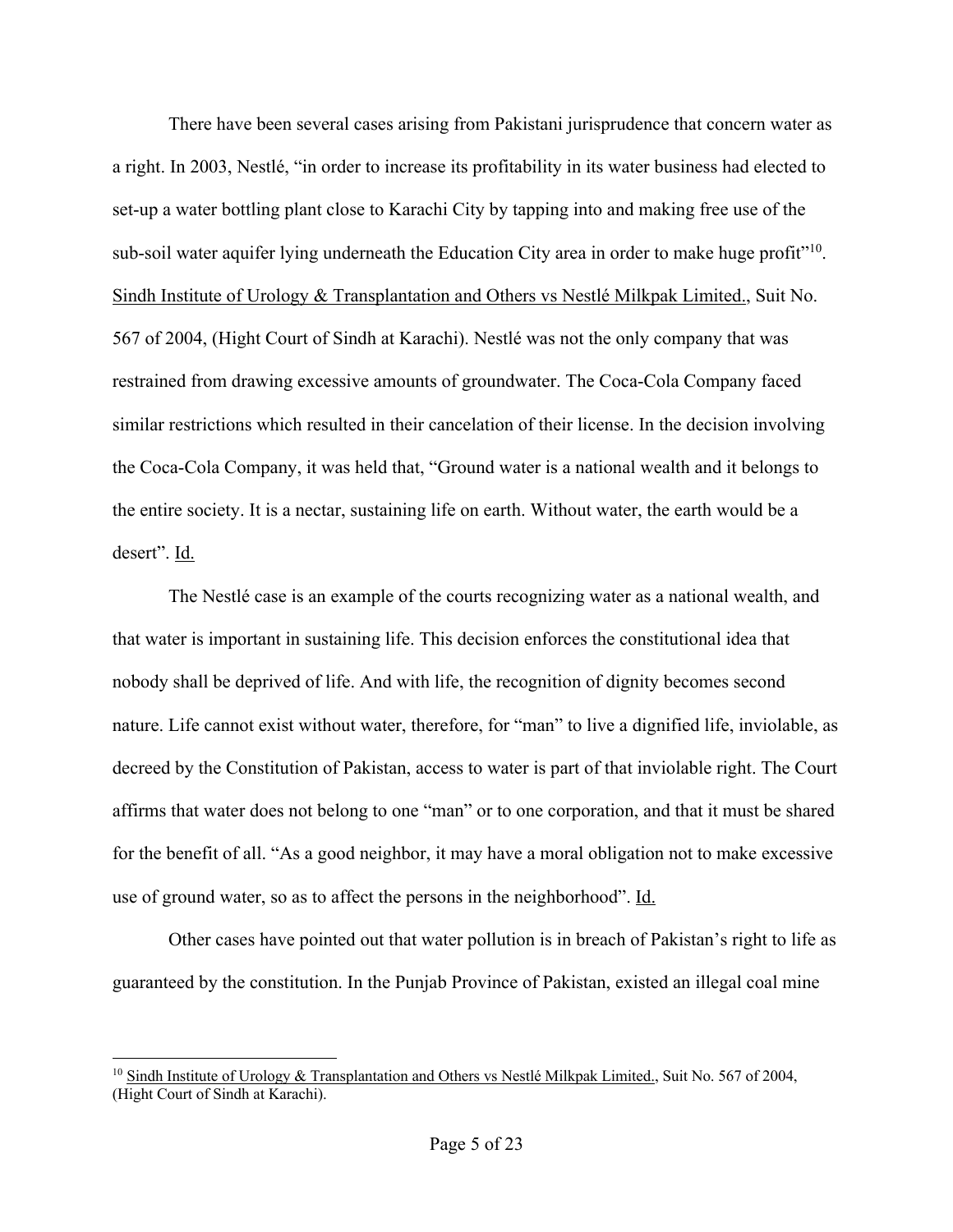There have been several cases arising from Pakistani jurisprudence that concern water as a right. In 2003, Nestlé, "in order to increase its profitability in its water business had elected to set-up a water bottling plant close to Karachi City by tapping into and making free use of the sub-soil water aquifer lying underneath the Education City area in order to make huge profit<sup>"10</sup>. Sindh Institute of Urology & Transplantation and Others vs Nestlé Milkpak Limited., Suit No. 567 of 2004, (Hight Court of Sindh at Karachi). Nestlé was not the only company that was restrained from drawing excessive amounts of groundwater. The Coca-Cola Company faced similar restrictions which resulted in their cancelation of their license. In the decision involving the Coca-Cola Company, it was held that, "Ground water is a national wealth and it belongs to the entire society. It is a nectar, sustaining life on earth. Without water, the earth would be a desert". Id.

The Nestlé case is an example of the courts recognizing water as a national wealth, and that water is important in sustaining life. This decision enforces the constitutional idea that nobody shall be deprived of life. And with life, the recognition of dignity becomes second nature. Life cannot exist without water, therefore, for "man" to live a dignified life, inviolable, as decreed by the Constitution of Pakistan, access to water is part of that inviolable right. The Court affirms that water does not belong to one "man" or to one corporation, and that it must be shared for the benefit of all. "As a good neighbor, it may have a moral obligation not to make excessive use of ground water, so as to affect the persons in the neighborhood". Id.

Other cases have pointed out that water pollution is in breach of Pakistan's right to life as guaranteed by the constitution. In the Punjab Province of Pakistan, existed an illegal coal mine

<sup>&</sup>lt;sup>10</sup> Sindh Institute of Urology & Transplantation and Others vs Nestlé Milkpak Limited., Suit No. 567 of 2004, (Hight Court of Sindh at Karachi).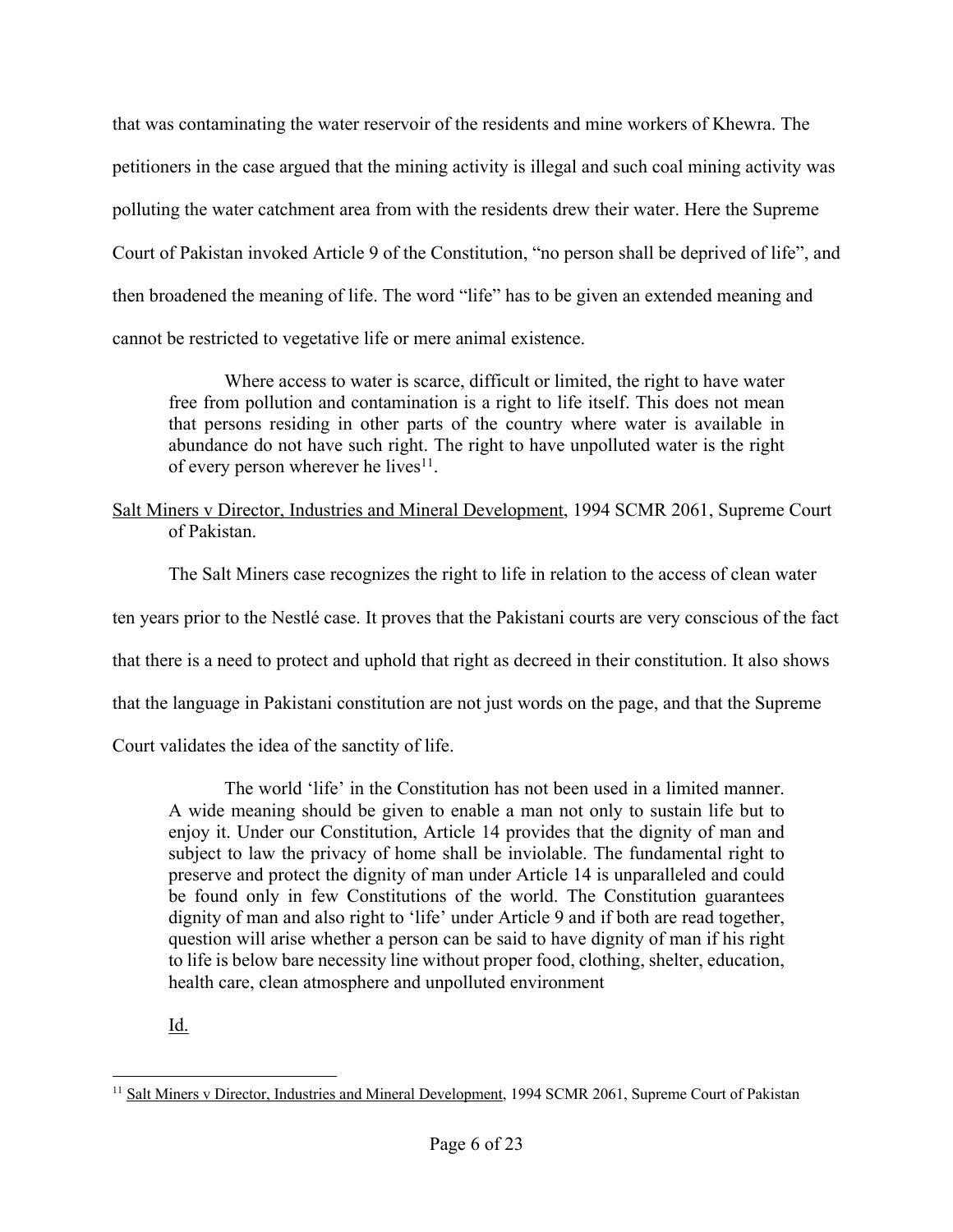that was contaminating the water reservoir of the residents and mine workers of Khewra. The petitioners in the case argued that the mining activity is illegal and such coal mining activity was polluting the water catchment area from with the residents drew their water. Here the Supreme Court of Pakistan invoked Article 9 of the Constitution, "no person shall be deprived of life", and then broadened the meaning of life. The word "life" has to be given an extended meaning and cannot be restricted to vegetative life or mere animal existence.

Where access to water is scarce, difficult or limited, the right to have water free from pollution and contamination is a right to life itself. This does not mean that persons residing in other parts of the country where water is available in abundance do not have such right. The right to have unpolluted water is the right of every person wherever he lives $11$ .

# Salt Miners v Director, Industries and Mineral Development, 1994 SCMR 2061, Supreme Court of Pakistan.

The Salt Miners case recognizes the right to life in relation to the access of clean water

ten years prior to the Nestlé case. It proves that the Pakistani courts are very conscious of the fact

that there is a need to protect and uphold that right as decreed in their constitution. It also shows

that the language in Pakistani constitution are not just words on the page, and that the Supreme

Court validates the idea of the sanctity of life.

The world 'life' in the Constitution has not been used in a limited manner. A wide meaning should be given to enable a man not only to sustain life but to enjoy it. Under our Constitution, Article 14 provides that the dignity of man and subject to law the privacy of home shall be inviolable. The fundamental right to preserve and protect the dignity of man under Article 14 is unparalleled and could be found only in few Constitutions of the world. The Constitution guarantees dignity of man and also right to 'life' under Article 9 and if both are read together, question will arise whether a person can be said to have dignity of man if his right to life is below bare necessity line without proper food, clothing, shelter, education, health care, clean atmosphere and unpolluted environment

Id.

<sup>&</sup>lt;sup>11</sup> Salt Miners v Director, Industries and Mineral Development, 1994 SCMR 2061, Supreme Court of Pakistan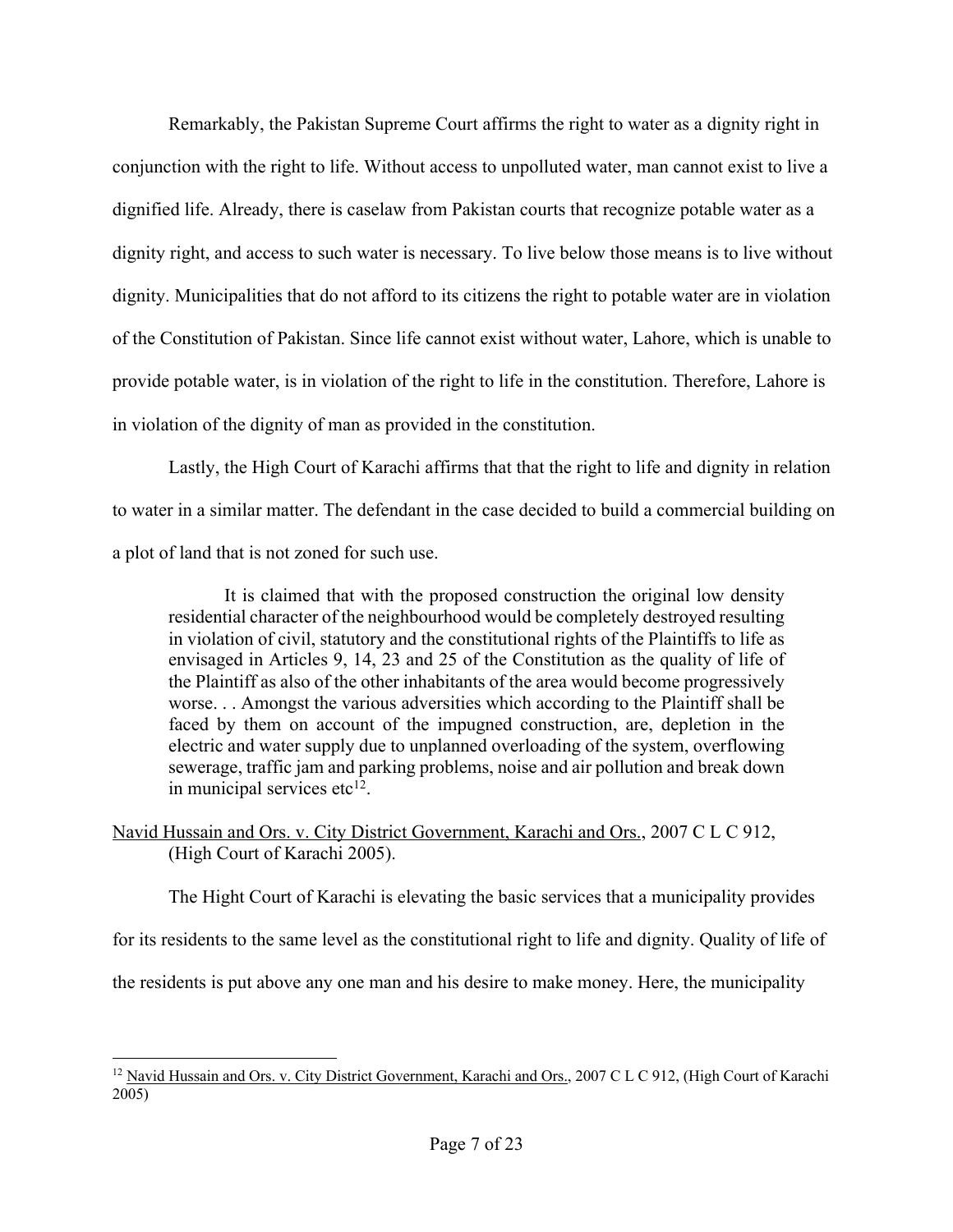Remarkably, the Pakistan Supreme Court affirms the right to water as a dignity right in conjunction with the right to life. Without access to unpolluted water, man cannot exist to live a dignified life. Already, there is caselaw from Pakistan courts that recognize potable water as a dignity right, and access to such water is necessary. To live below those means is to live without dignity. Municipalities that do not afford to its citizens the right to potable water are in violation of the Constitution of Pakistan. Since life cannot exist without water, Lahore, which is unable to provide potable water, is in violation of the right to life in the constitution. Therefore, Lahore is in violation of the dignity of man as provided in the constitution.

Lastly, the High Court of Karachi affirms that that the right to life and dignity in relation to water in a similar matter. The defendant in the case decided to build a commercial building on a plot of land that is not zoned for such use.

It is claimed that with the proposed construction the original low density residential character of the neighbourhood would be completely destroyed resulting in violation of civil, statutory and the constitutional rights of the Plaintiffs to life as envisaged in Articles 9, 14, 23 and 25 of the Constitution as the quality of life of the Plaintiff as also of the other inhabitants of the area would become progressively worse. . . Amongst the various adversities which according to the Plaintiff shall be faced by them on account of the impugned construction, are, depletion in the electric and water supply due to unplanned overloading of the system, overflowing sewerage, traffic jam and parking problems, noise and air pollution and break down in municipal services etc $^{12}$ .

# Navid Hussain and Ors. v. City District Government, Karachi and Ors., 2007 C L C 912, (High Court of Karachi 2005).

The Hight Court of Karachi is elevating the basic services that a municipality provides

for its residents to the same level as the constitutional right to life and dignity. Quality of life of

the residents is put above any one man and his desire to make money. Here, the municipality

<sup>&</sup>lt;sup>12</sup> Navid Hussain and Ors. v. City District Government, Karachi and Ors., 2007 C L C 912, (High Court of Karachi 2005)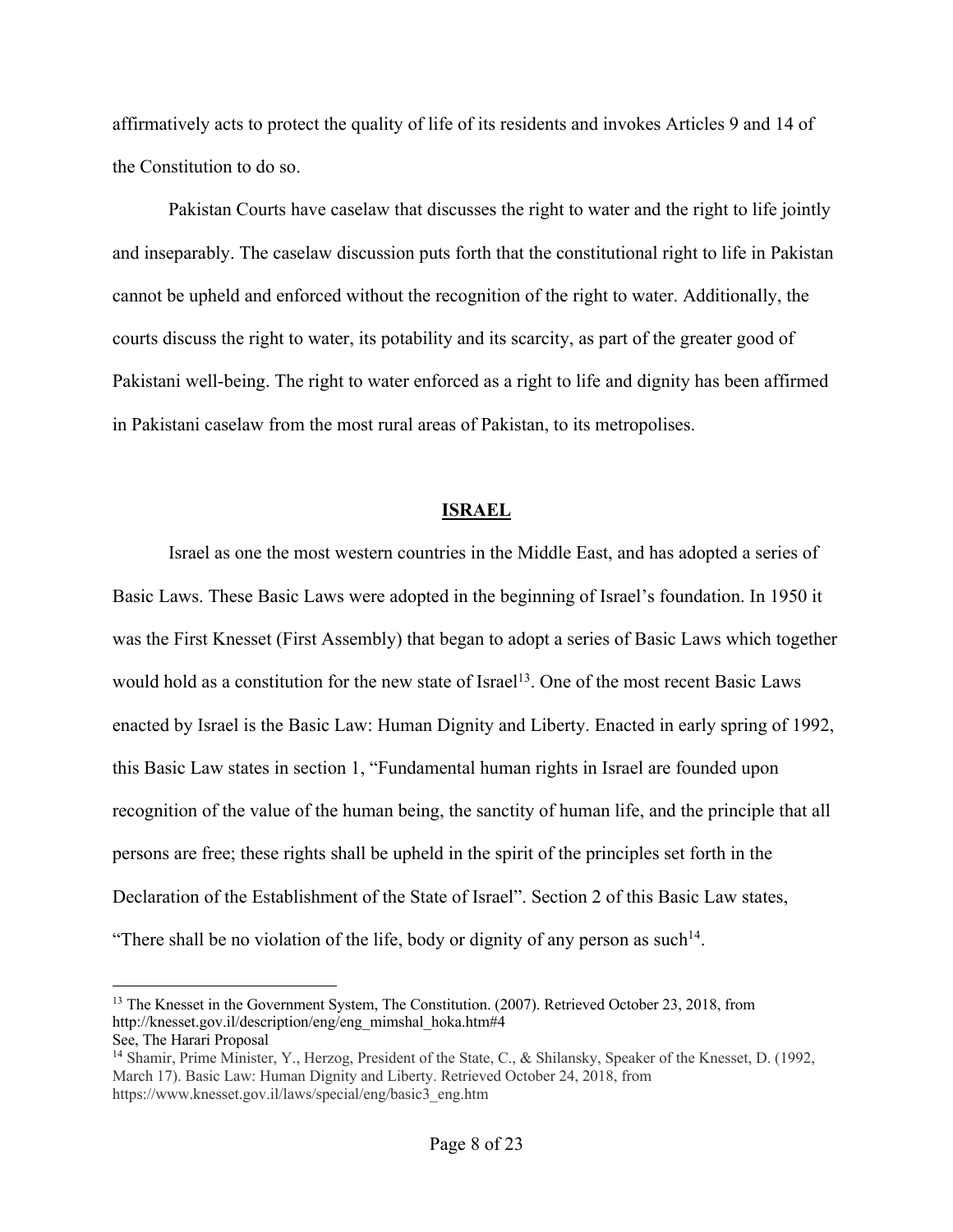affirmatively acts to protect the quality of life of its residents and invokes Articles 9 and 14 of the Constitution to do so.

Pakistan Courts have caselaw that discusses the right to water and the right to life jointly and inseparably. The caselaw discussion puts forth that the constitutional right to life in Pakistan cannot be upheld and enforced without the recognition of the right to water. Additionally, the courts discuss the right to water, its potability and its scarcity, as part of the greater good of Pakistani well-being. The right to water enforced as a right to life and dignity has been affirmed in Pakistani caselaw from the most rural areas of Pakistan, to its metropolises.

#### **ISRAEL**

Israel as one the most western countries in the Middle East, and has adopted a series of Basic Laws. These Basic Laws were adopted in the beginning of Israel's foundation. In 1950 it was the First Knesset (First Assembly) that began to adopt a series of Basic Laws which together would hold as a constitution for the new state of Israel<sup>13</sup>. One of the most recent Basic Laws enacted by Israel is the Basic Law: Human Dignity and Liberty. Enacted in early spring of 1992, this Basic Law states in section 1, "Fundamental human rights in Israel are founded upon recognition of the value of the human being, the sanctity of human life, and the principle that all persons are free; these rights shall be upheld in the spirit of the principles set forth in the Declaration of the Establishment of the State of Israel". Section 2 of this Basic Law states, "There shall be no violation of the life, body or dignity of any person as such<sup>14</sup>.

<sup>&</sup>lt;sup>13</sup> The Knesset in the Government System, The Constitution. (2007). Retrieved October 23, 2018, from http://knesset.gov.il/description/eng/eng\_mimshal\_hoka.htm#4 See, The Harari Proposal

<sup>14</sup> Shamir, Prime Minister, Y., Herzog, President of the State, C., & Shilansky, Speaker of the Knesset, D. (1992, March 17). Basic Law: Human Dignity and Liberty. Retrieved October 24, 2018, from https://www.knesset.gov.il/laws/special/eng/basic3\_eng.htm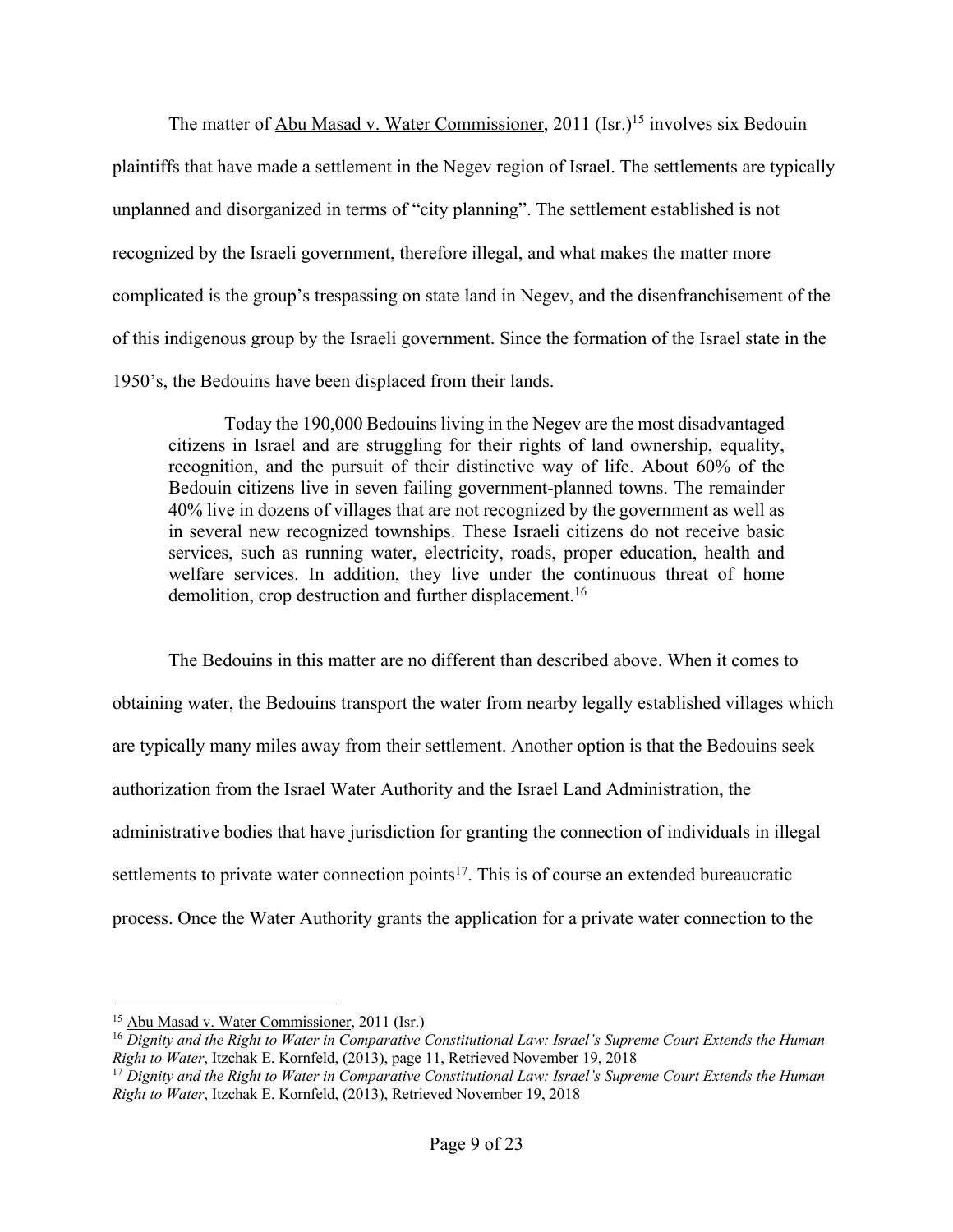The matter of Abu Masad v. Water Commissioner, 2011 (Isr.)<sup>15</sup> involves six Bedouin plaintiffs that have made a settlement in the Negev region of Israel. The settlements are typically unplanned and disorganized in terms of "city planning". The settlement established is not recognized by the Israeli government, therefore illegal, and what makes the matter more complicated is the group's trespassing on state land in Negev, and the disenfranchisement of the of this indigenous group by the Israeli government. Since the formation of the Israel state in the 1950's, the Bedouins have been displaced from their lands.

Today the 190,000 Bedouins living in the Negev are the most disadvantaged citizens in Israel and are struggling for their rights of land ownership, equality, recognition, and the pursuit of their distinctive way of life. About 60% of the Bedouin citizens live in seven failing government-planned towns. The remainder 40% live in dozens of villages that are not recognized by the government as well as in several new recognized townships. These Israeli citizens do not receive basic services, such as running water, electricity, roads, proper education, health and welfare services. In addition, they live under the continuous threat of home demolition, crop destruction and further displacement.<sup>16</sup>

The Bedouins in this matter are no different than described above. When it comes to obtaining water, the Bedouins transport the water from nearby legally established villages which are typically many miles away from their settlement. Another option is that the Bedouins seek authorization from the Israel Water Authority and the Israel Land Administration, the administrative bodies that have jurisdiction for granting the connection of individuals in illegal settlements to private water connection points<sup>17</sup>. This is of course an extended bureaucratic process. Once the Water Authority grants the application for a private water connection to the

<sup>16</sup> *Dignity and the Right to Water in Comparative Constitutional Law: Israel's Supreme Court Extends the Human Right to Water*, Itzchak E. Kornfeld, (2013), page 11, Retrieved November 19, 2018

 <sup>15</sup> Abu Masad v. Water Commissioner, 2011 (Isr.)

<sup>17</sup> *Dignity and the Right to Water in Comparative Constitutional Law: Israel's Supreme Court Extends the Human Right to Water*, Itzchak E. Kornfeld, (2013), Retrieved November 19, 2018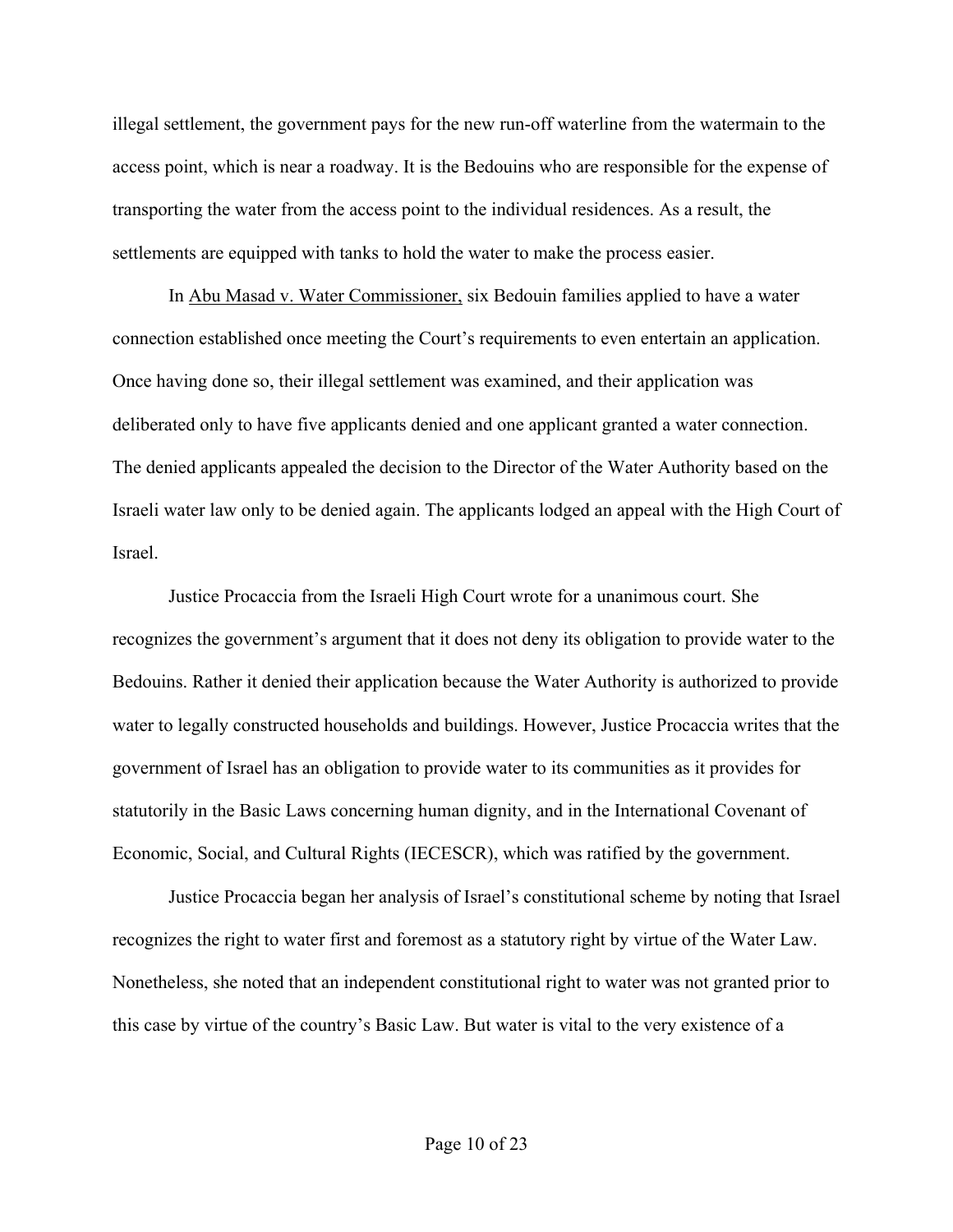illegal settlement, the government pays for the new run-off waterline from the watermain to the access point, which is near a roadway. It is the Bedouins who are responsible for the expense of transporting the water from the access point to the individual residences. As a result, the settlements are equipped with tanks to hold the water to make the process easier.

In Abu Masad v. Water Commissioner, six Bedouin families applied to have a water connection established once meeting the Court's requirements to even entertain an application. Once having done so, their illegal settlement was examined, and their application was deliberated only to have five applicants denied and one applicant granted a water connection. The denied applicants appealed the decision to the Director of the Water Authority based on the Israeli water law only to be denied again. The applicants lodged an appeal with the High Court of Israel.

Justice Procaccia from the Israeli High Court wrote for a unanimous court. She recognizes the government's argument that it does not deny its obligation to provide water to the Bedouins. Rather it denied their application because the Water Authority is authorized to provide water to legally constructed households and buildings. However, Justice Procaccia writes that the government of Israel has an obligation to provide water to its communities as it provides for statutorily in the Basic Laws concerning human dignity, and in the International Covenant of Economic, Social, and Cultural Rights (IECESCR), which was ratified by the government.

Justice Procaccia began her analysis of Israel's constitutional scheme by noting that Israel recognizes the right to water first and foremost as a statutory right by virtue of the Water Law. Nonetheless, she noted that an independent constitutional right to water was not granted prior to this case by virtue of the country's Basic Law. But water is vital to the very existence of a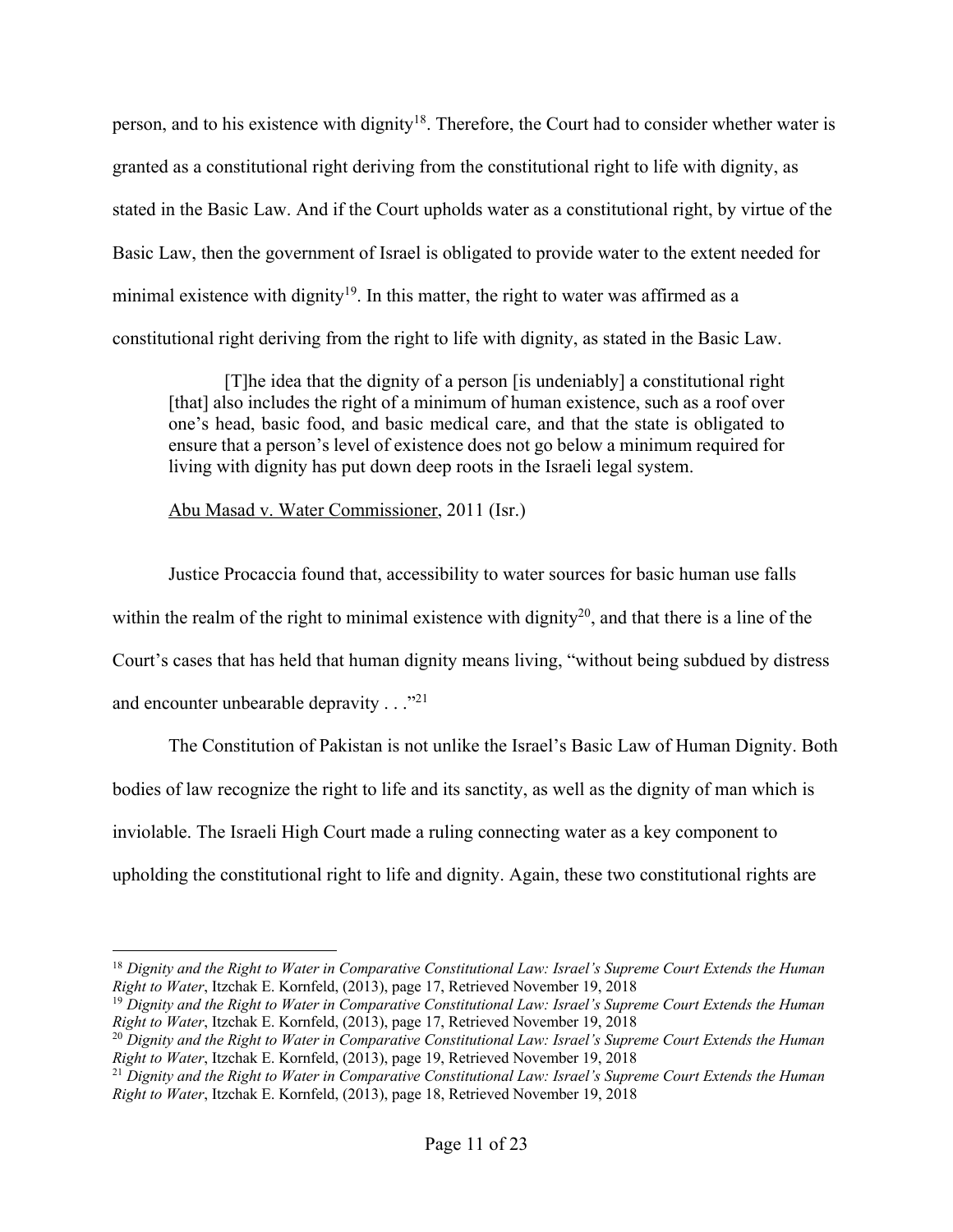person, and to his existence with dignity<sup>18</sup>. Therefore, the Court had to consider whether water is granted as a constitutional right deriving from the constitutional right to life with dignity, as stated in the Basic Law. And if the Court upholds water as a constitutional right, by virtue of the Basic Law, then the government of Israel is obligated to provide water to the extent needed for minimal existence with dignity<sup>19</sup>. In this matter, the right to water was affirmed as a constitutional right deriving from the right to life with dignity, as stated in the Basic Law.

[T]he idea that the dignity of a person [is undeniably] a constitutional right [that] also includes the right of a minimum of human existence, such as a roof over one's head, basic food, and basic medical care, and that the state is obligated to ensure that a person's level of existence does not go below a minimum required for living with dignity has put down deep roots in the Israeli legal system.

Abu Masad v. Water Commissioner, 2011 (Isr.)

Justice Procaccia found that, accessibility to water sources for basic human use falls within the realm of the right to minimal existence with dignity<sup>20</sup>, and that there is a line of the Court's cases that has held that human dignity means living, "without being subdued by distress and encounter unbearable depravity . . ."<sup>21</sup>

The Constitution of Pakistan is not unlike the Israel's Basic Law of Human Dignity. Both bodies of law recognize the right to life and its sanctity, as well as the dignity of man which is inviolable. The Israeli High Court made a ruling connecting water as a key component to upholding the constitutional right to life and dignity. Again, these two constitutional rights are

 <sup>18</sup> *Dignity and the Right to Water in Comparative Constitutional Law: Israel's Supreme Court Extends the Human Right to Water*, Itzchak E. Kornfeld, (2013), page 17, Retrieved November 19, 2018

<sup>19</sup> *Dignity and the Right to Water in Comparative Constitutional Law: Israel's Supreme Court Extends the Human Right to Water*, Itzchak E. Kornfeld, (2013), page 17, Retrieved November 19, 2018

<sup>20</sup> *Dignity and the Right to Water in Comparative Constitutional Law: Israel's Supreme Court Extends the Human Right to Water*, Itzchak E. Kornfeld, (2013), page 19, Retrieved November 19, 2018

<sup>21</sup> *Dignity and the Right to Water in Comparative Constitutional Law: Israel's Supreme Court Extends the Human Right to Water*, Itzchak E. Kornfeld, (2013), page 18, Retrieved November 19, 2018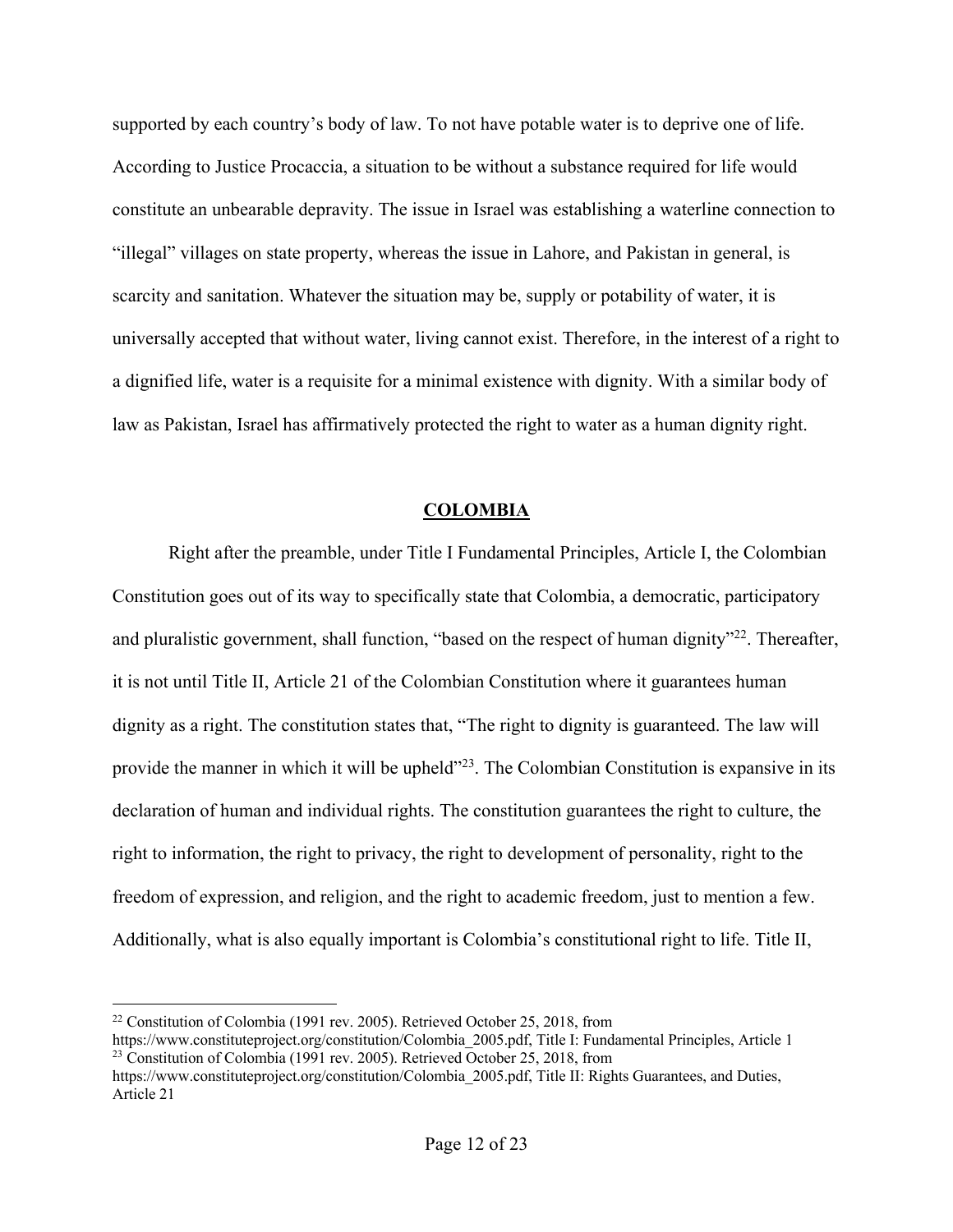supported by each country's body of law. To not have potable water is to deprive one of life. According to Justice Procaccia, a situation to be without a substance required for life would constitute an unbearable depravity. The issue in Israel was establishing a waterline connection to "illegal" villages on state property, whereas the issue in Lahore, and Pakistan in general, is scarcity and sanitation. Whatever the situation may be, supply or potability of water, it is universally accepted that without water, living cannot exist. Therefore, in the interest of a right to a dignified life, water is a requisite for a minimal existence with dignity. With a similar body of law as Pakistan, Israel has affirmatively protected the right to water as a human dignity right.

## **COLOMBIA**

Right after the preamble, under Title I Fundamental Principles, Article I, the Colombian Constitution goes out of its way to specifically state that Colombia, a democratic, participatory and pluralistic government, shall function, "based on the respect of human dignity"<sup>22</sup>. Thereafter, it is not until Title II, Article 21 of the Colombian Constitution where it guarantees human dignity as a right. The constitution states that, "The right to dignity is guaranteed. The law will provide the manner in which it will be upheld<sup>323</sup>. The Colombian Constitution is expansive in its declaration of human and individual rights. The constitution guarantees the right to culture, the right to information, the right to privacy, the right to development of personality, right to the freedom of expression, and religion, and the right to academic freedom, just to mention a few. Additionally, what is also equally important is Colombia's constitutional right to life. Title II,

 <sup>22</sup> Constitution of Colombia (1991 rev. 2005). Retrieved October 25, 2018, from

https://www.constituteproject.org/constitution/Colombia\_2005.pdf, Title I: Fundamental Principles, Article 1 <sup>23</sup> Constitution of Colombia (1991 rev. 2005). Retrieved October 25, 2018, from

https://www.constituteproject.org/constitution/Colombia\_2005.pdf, Title II: Rights Guarantees, and Duties, Article 21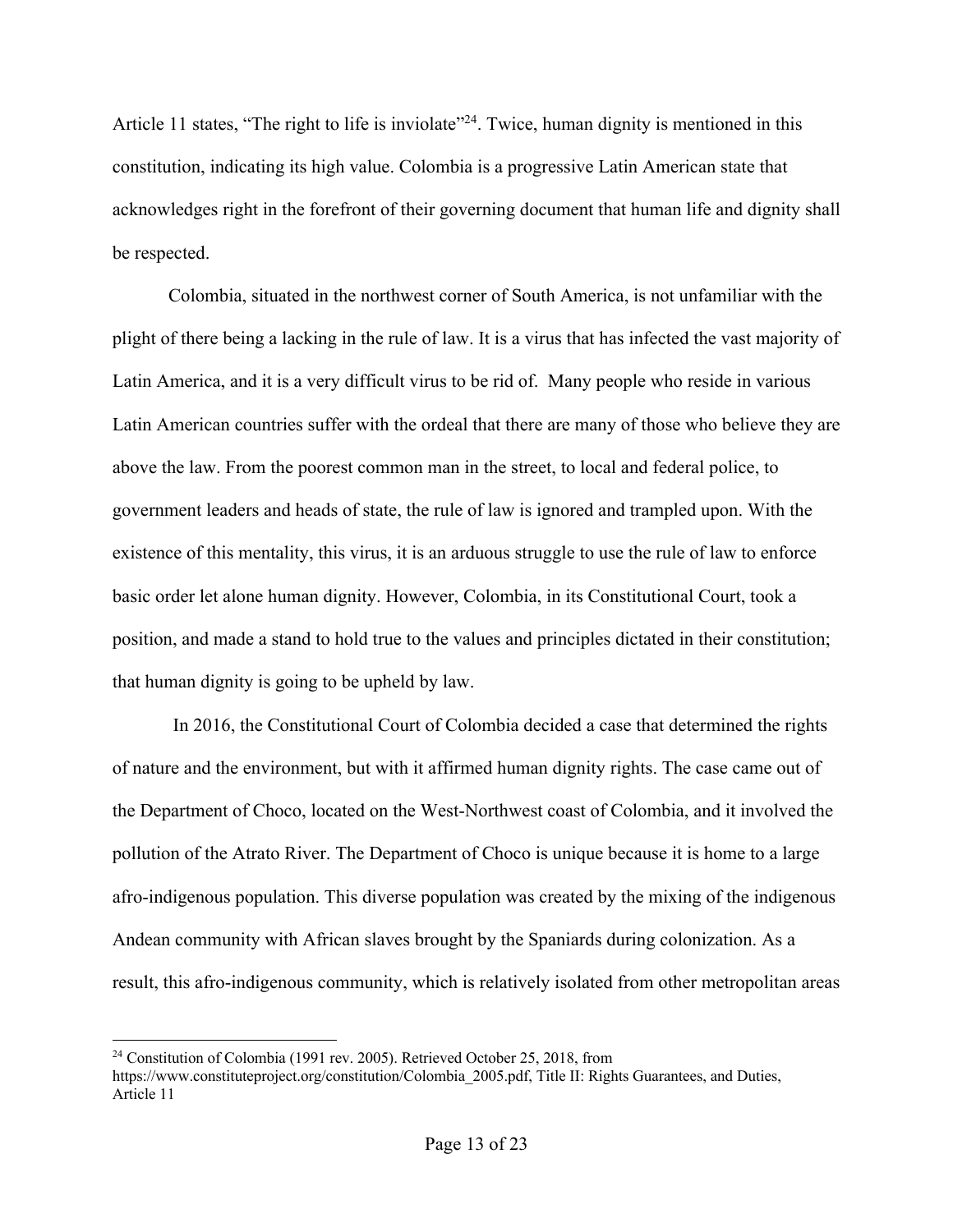Article 11 states, "The right to life is inviolate"<sup>24</sup>. Twice, human dignity is mentioned in this constitution, indicating its high value. Colombia is a progressive Latin American state that acknowledges right in the forefront of their governing document that human life and dignity shall be respected.

Colombia, situated in the northwest corner of South America, is not unfamiliar with the plight of there being a lacking in the rule of law. It is a virus that has infected the vast majority of Latin America, and it is a very difficult virus to be rid of. Many people who reside in various Latin American countries suffer with the ordeal that there are many of those who believe they are above the law. From the poorest common man in the street, to local and federal police, to government leaders and heads of state, the rule of law is ignored and trampled upon. With the existence of this mentality, this virus, it is an arduous struggle to use the rule of law to enforce basic order let alone human dignity. However, Colombia, in its Constitutional Court, took a position, and made a stand to hold true to the values and principles dictated in their constitution; that human dignity is going to be upheld by law.

In 2016, the Constitutional Court of Colombia decided a case that determined the rights of nature and the environment, but with it affirmed human dignity rights. The case came out of the Department of Choco, located on the West-Northwest coast of Colombia, and it involved the pollution of the Atrato River. The Department of Choco is unique because it is home to a large afro-indigenous population. This diverse population was created by the mixing of the indigenous Andean community with African slaves brought by the Spaniards during colonization. As a result, this afro-indigenous community, which is relatively isolated from other metropolitan areas

<sup>&</sup>lt;sup>24</sup> Constitution of Colombia (1991 rev. 2005). Retrieved October 25, 2018, from

https://www.constituteproject.org/constitution/Colombia\_2005.pdf, Title II: Rights Guarantees, and Duties, Article 11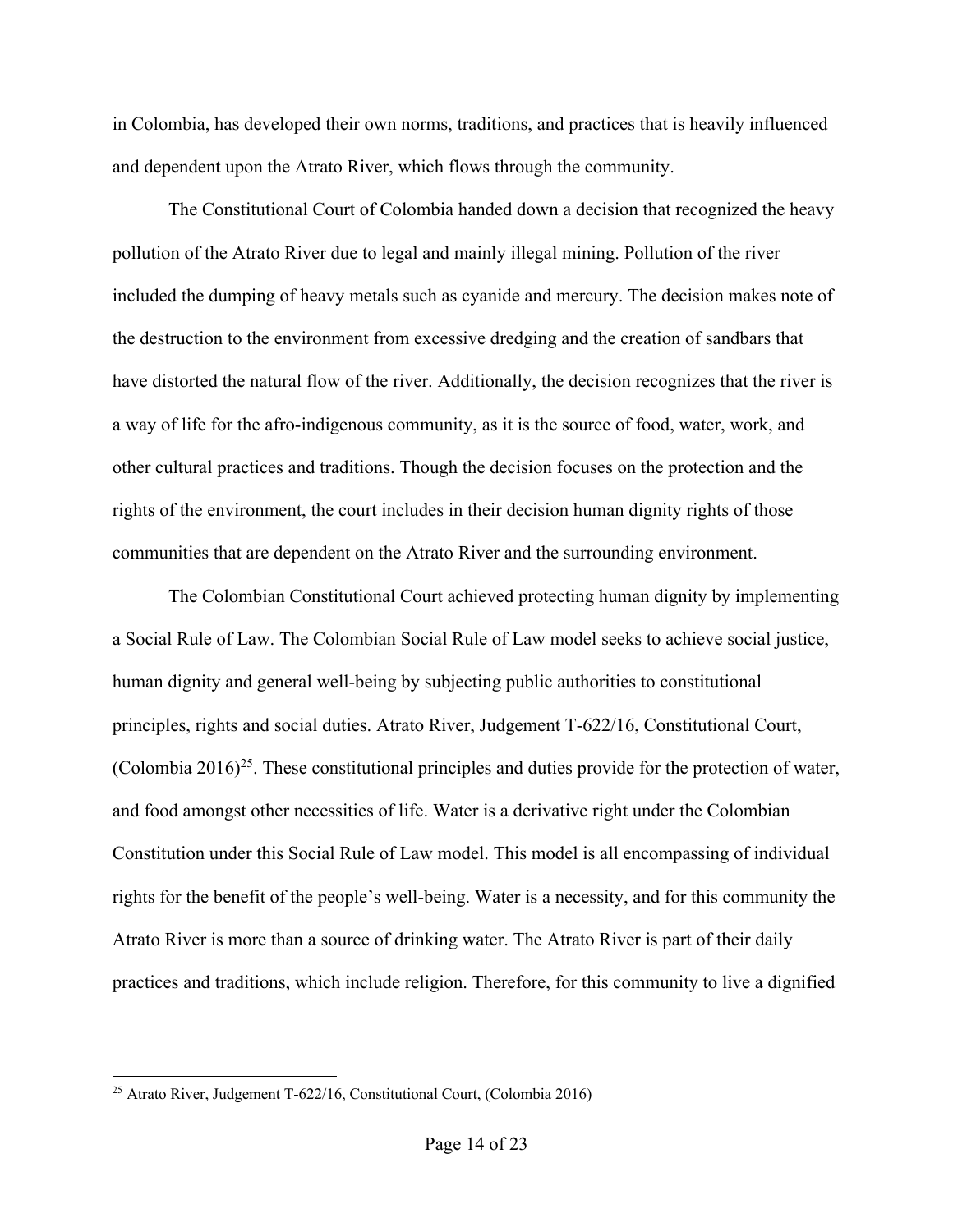in Colombia, has developed their own norms, traditions, and practices that is heavily influenced and dependent upon the Atrato River, which flows through the community.

The Constitutional Court of Colombia handed down a decision that recognized the heavy pollution of the Atrato River due to legal and mainly illegal mining. Pollution of the river included the dumping of heavy metals such as cyanide and mercury. The decision makes note of the destruction to the environment from excessive dredging and the creation of sandbars that have distorted the natural flow of the river. Additionally, the decision recognizes that the river is a way of life for the afro-indigenous community, as it is the source of food, water, work, and other cultural practices and traditions. Though the decision focuses on the protection and the rights of the environment, the court includes in their decision human dignity rights of those communities that are dependent on the Atrato River and the surrounding environment.

The Colombian Constitutional Court achieved protecting human dignity by implementing a Social Rule of Law. The Colombian Social Rule of Law model seeks to achieve social justice, human dignity and general well-being by subjecting public authorities to constitutional principles, rights and social duties. Atrato River, Judgement T-622/16, Constitutional Court, (Colombia 2016)<sup>25</sup>. These constitutional principles and duties provide for the protection of water, and food amongst other necessities of life. Water is a derivative right under the Colombian Constitution under this Social Rule of Law model. This model is all encompassing of individual rights for the benefit of the people's well-being. Water is a necessity, and for this community the Atrato River is more than a source of drinking water. The Atrato River is part of their daily practices and traditions, which include religion. Therefore, for this community to live a dignified

 <sup>25</sup> Atrato River, Judgement T-622/16, Constitutional Court, (Colombia 2016)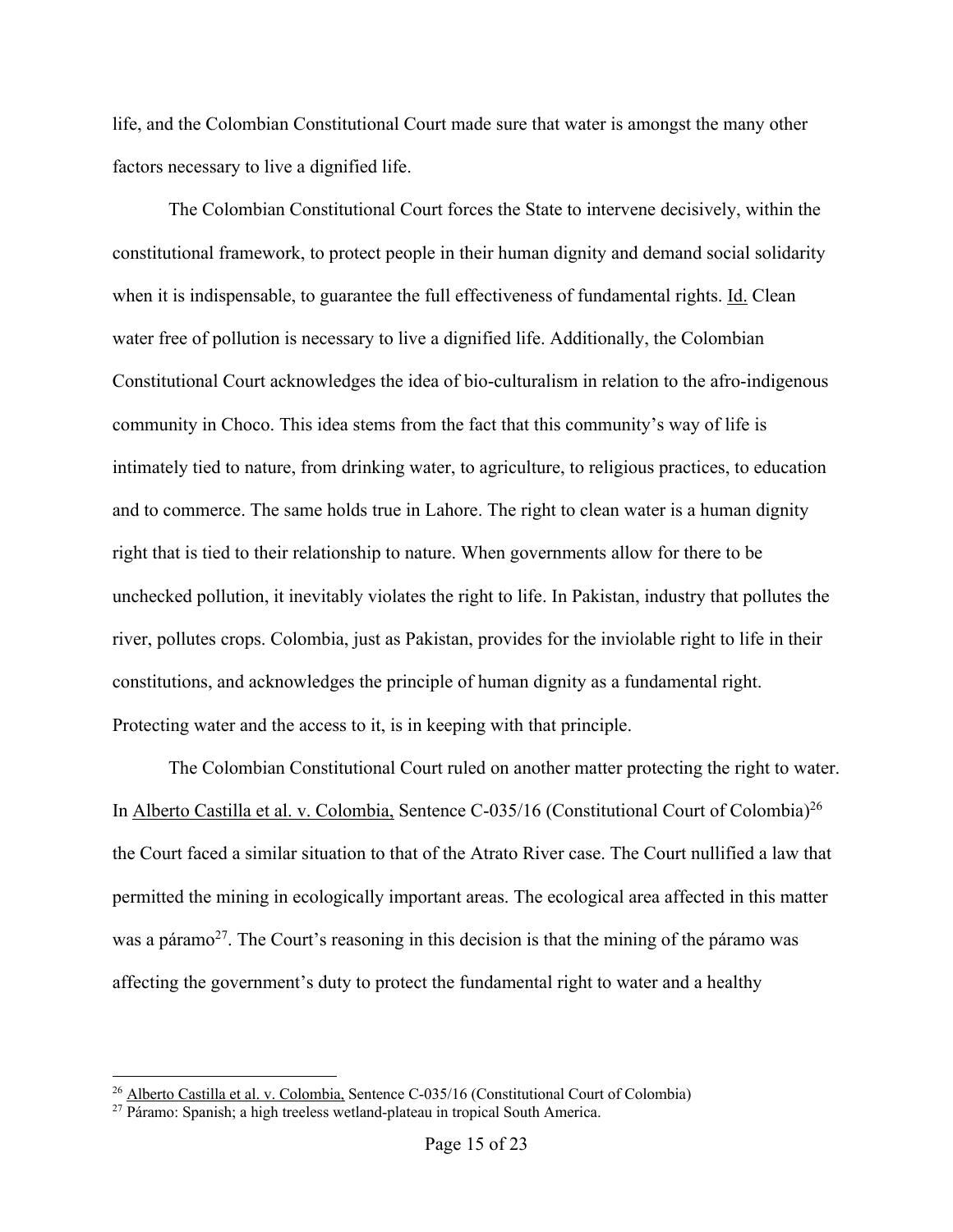life, and the Colombian Constitutional Court made sure that water is amongst the many other factors necessary to live a dignified life.

The Colombian Constitutional Court forces the State to intervene decisively, within the constitutional framework, to protect people in their human dignity and demand social solidarity when it is indispensable, to guarantee the full effectiveness of fundamental rights. Id. Clean water free of pollution is necessary to live a dignified life. Additionally, the Colombian Constitutional Court acknowledges the idea of bio-culturalism in relation to the afro-indigenous community in Choco. This idea stems from the fact that this community's way of life is intimately tied to nature, from drinking water, to agriculture, to religious practices, to education and to commerce. The same holds true in Lahore. The right to clean water is a human dignity right that is tied to their relationship to nature. When governments allow for there to be unchecked pollution, it inevitably violates the right to life. In Pakistan, industry that pollutes the river, pollutes crops. Colombia, just as Pakistan, provides for the inviolable right to life in their constitutions, and acknowledges the principle of human dignity as a fundamental right. Protecting water and the access to it, is in keeping with that principle.

The Colombian Constitutional Court ruled on another matter protecting the right to water. In Alberto Castilla et al. v. Colombia, Sentence C-035/16 (Constitutional Court of Colombia)26 the Court faced a similar situation to that of the Atrato River case. The Court nullified a law that permitted the mining in ecologically important areas. The ecological area affected in this matter was a páramo<sup>27</sup>. The Court's reasoning in this decision is that the mining of the páramo was affecting the government's duty to protect the fundamental right to water and a healthy

 <sup>26</sup> Alberto Castilla et al. v. Colombia, Sentence C-035/16 (Constitutional Court of Colombia)

 $^{27}$  Páramo: Spanish; a high treeless wetland-plateau in tropical South America.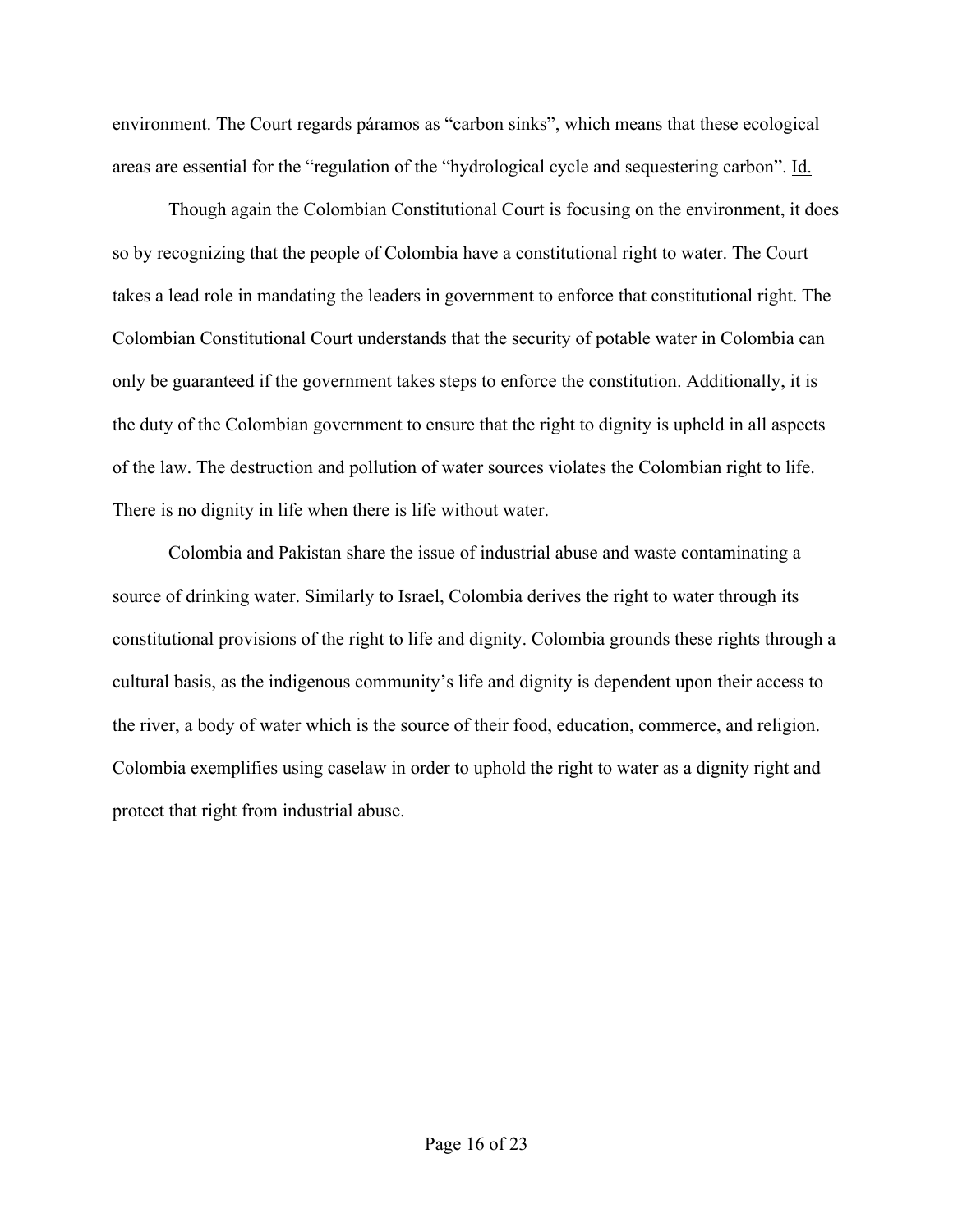environment. The Court regards páramos as "carbon sinks", which means that these ecological areas are essential for the "regulation of the "hydrological cycle and sequestering carbon". Id.

Though again the Colombian Constitutional Court is focusing on the environment, it does so by recognizing that the people of Colombia have a constitutional right to water. The Court takes a lead role in mandating the leaders in government to enforce that constitutional right. The Colombian Constitutional Court understands that the security of potable water in Colombia can only be guaranteed if the government takes steps to enforce the constitution. Additionally, it is the duty of the Colombian government to ensure that the right to dignity is upheld in all aspects of the law. The destruction and pollution of water sources violates the Colombian right to life. There is no dignity in life when there is life without water.

Colombia and Pakistan share the issue of industrial abuse and waste contaminating a source of drinking water. Similarly to Israel, Colombia derives the right to water through its constitutional provisions of the right to life and dignity. Colombia grounds these rights through a cultural basis, as the indigenous community's life and dignity is dependent upon their access to the river, a body of water which is the source of their food, education, commerce, and religion. Colombia exemplifies using caselaw in order to uphold the right to water as a dignity right and protect that right from industrial abuse.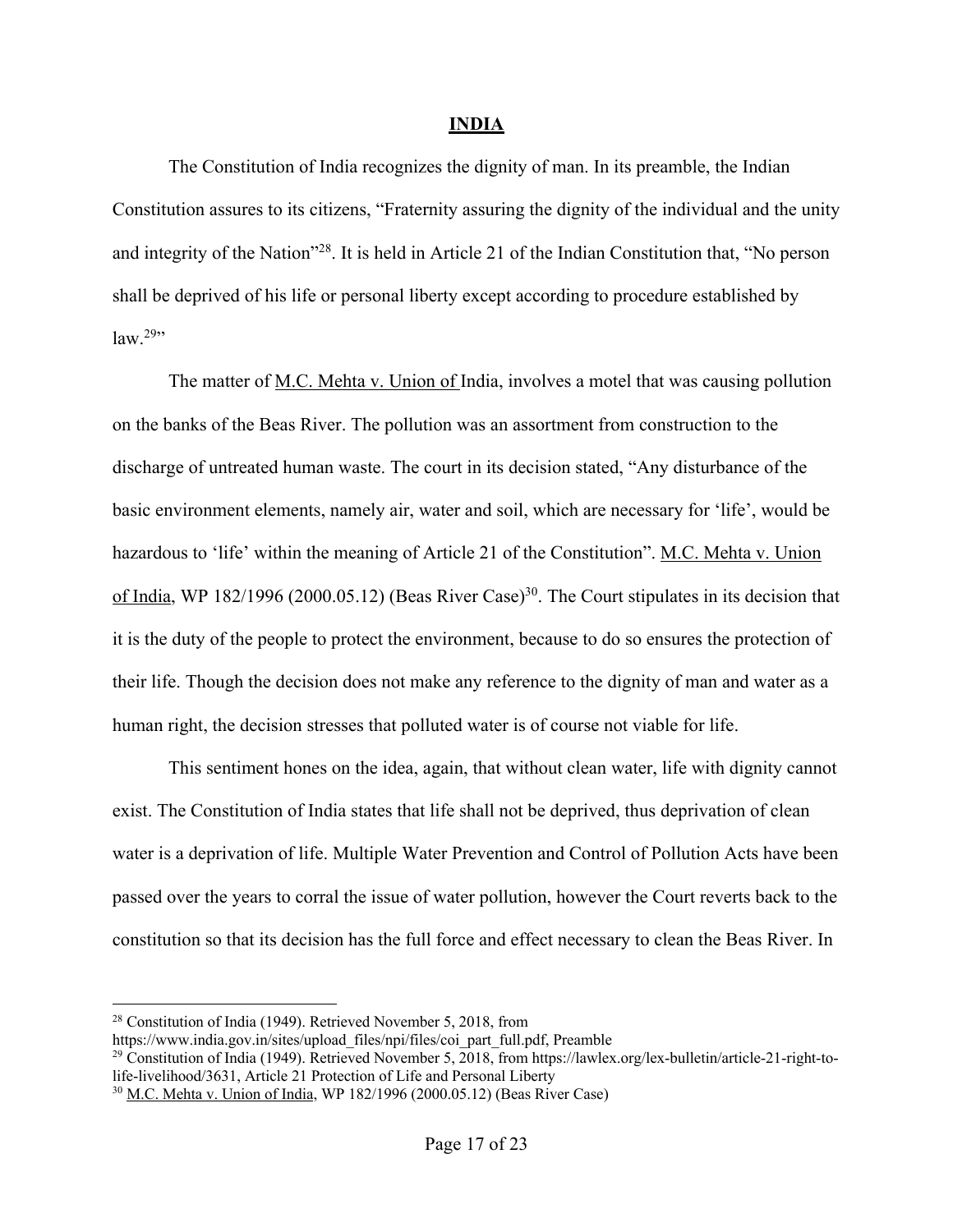### **INDIA**

The Constitution of India recognizes the dignity of man. In its preamble, the Indian Constitution assures to its citizens, "Fraternity assuring the dignity of the individual and the unity and integrity of the Nation"28. It is held in Article 21 of the Indian Constitution that, "No person shall be deprived of his life or personal liberty except according to procedure established by  $law.<sup>29</sup>$ 

The matter of M.C. Mehta v. Union of India, involves a motel that was causing pollution on the banks of the Beas River. The pollution was an assortment from construction to the discharge of untreated human waste. The court in its decision stated, "Any disturbance of the basic environment elements, namely air, water and soil, which are necessary for 'life', would be hazardous to 'life' within the meaning of Article 21 of the Constitution". M.C. Mehta v. Union of India, WP 182/1996 (2000.05.12) (Beas River Case)<sup>30</sup>. The Court stipulates in its decision that it is the duty of the people to protect the environment, because to do so ensures the protection of their life. Though the decision does not make any reference to the dignity of man and water as a human right, the decision stresses that polluted water is of course not viable for life.

This sentiment hones on the idea, again, that without clean water, life with dignity cannot exist. The Constitution of India states that life shall not be deprived, thus deprivation of clean water is a deprivation of life. Multiple Water Prevention and Control of Pollution Acts have been passed over the years to corral the issue of water pollution, however the Court reverts back to the constitution so that its decision has the full force and effect necessary to clean the Beas River. In

<sup>29</sup> Constitution of India (1949). Retrieved November 5,  $\overline{2018}$ , from https://lawlex.org/lex-bulletin/article-21-right-tolife-livelihood/3631, Article 21 Protection of Life and Personal Liberty

 <sup>28</sup> Constitution of India (1949). Retrieved November 5, 2018, from

https://www.india.gov.in/sites/upload\_files/npi/files/coi\_part\_full.pdf, Preamble

<sup>30</sup> M.C. Mehta v. Union of India, WP 182/1996 (2000.05.12) (Beas River Case)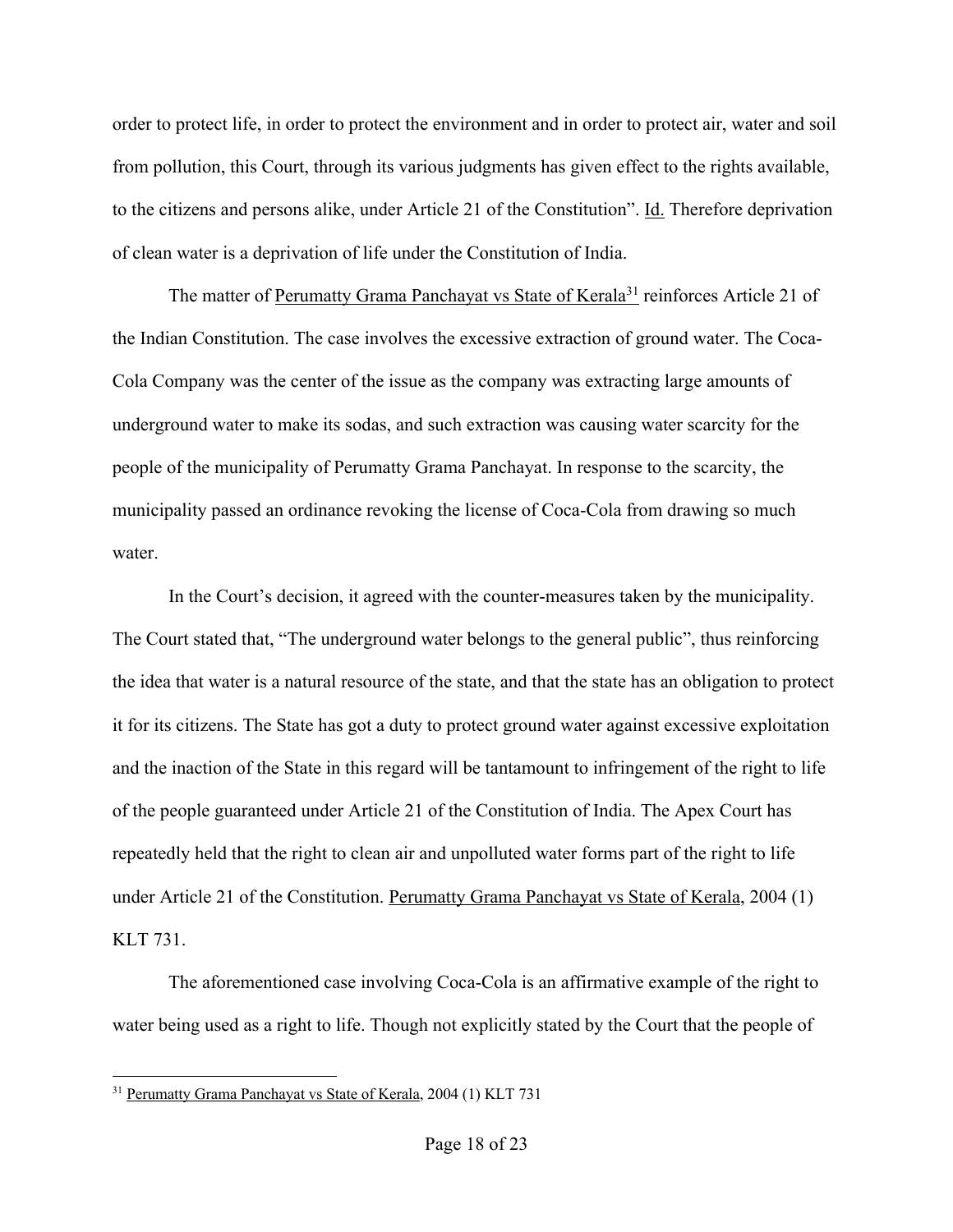order to protect life, in order to protect the environment and in order to protect air, water and soil from pollution, this Court, through its various judgments has given effect to the rights available, to the citizens and persons alike, under Article 21 of the Constitution". Id. Therefore deprivation of clean water is a deprivation of life under the Constitution of India.

The matter of Perumatty Grama Panchayat vs State of Kerala<sup>31</sup> reinforces Article 21 of the Indian Constitution. The case involves the excessive extraction of ground water. The Coca-Cola Company was the center of the issue as the company was extracting large amounts of underground water to make its sodas, and such extraction was causing water scarcity for the people of the municipality of Perumatty Grama Panchayat. In response to the scarcity, the municipality passed an ordinance revoking the license of Coca-Cola from drawing so much water.

In the Court's decision, it agreed with the counter-measures taken by the municipality. The Court stated that, "The underground water belongs to the general public", thus reinforcing the idea that water is a natural resource of the state, and that the state has an obligation to protect it for its citizens. The State has got a duty to protect ground water against excessive exploitation and the inaction of the State in this regard will be tantamount to infringement of the right to life of the people guaranteed under Article 21 of the Constitution of India. The Apex Court has repeatedly held that the right to clean air and unpolluted water forms part of the right to life under Article 21 of the Constitution. Perumatty Grama Panchayat vs State of Kerala, 2004 (1) KLT 731.

The aforementioned case involving Coca-Cola is an affirmative example of the right to water being used as a right to life. Though not explicitly stated by the Court that the people of

<sup>&</sup>lt;sup>31</sup> Perumatty Grama Panchayat vs State of Kerala, 2004 (1) KLT 731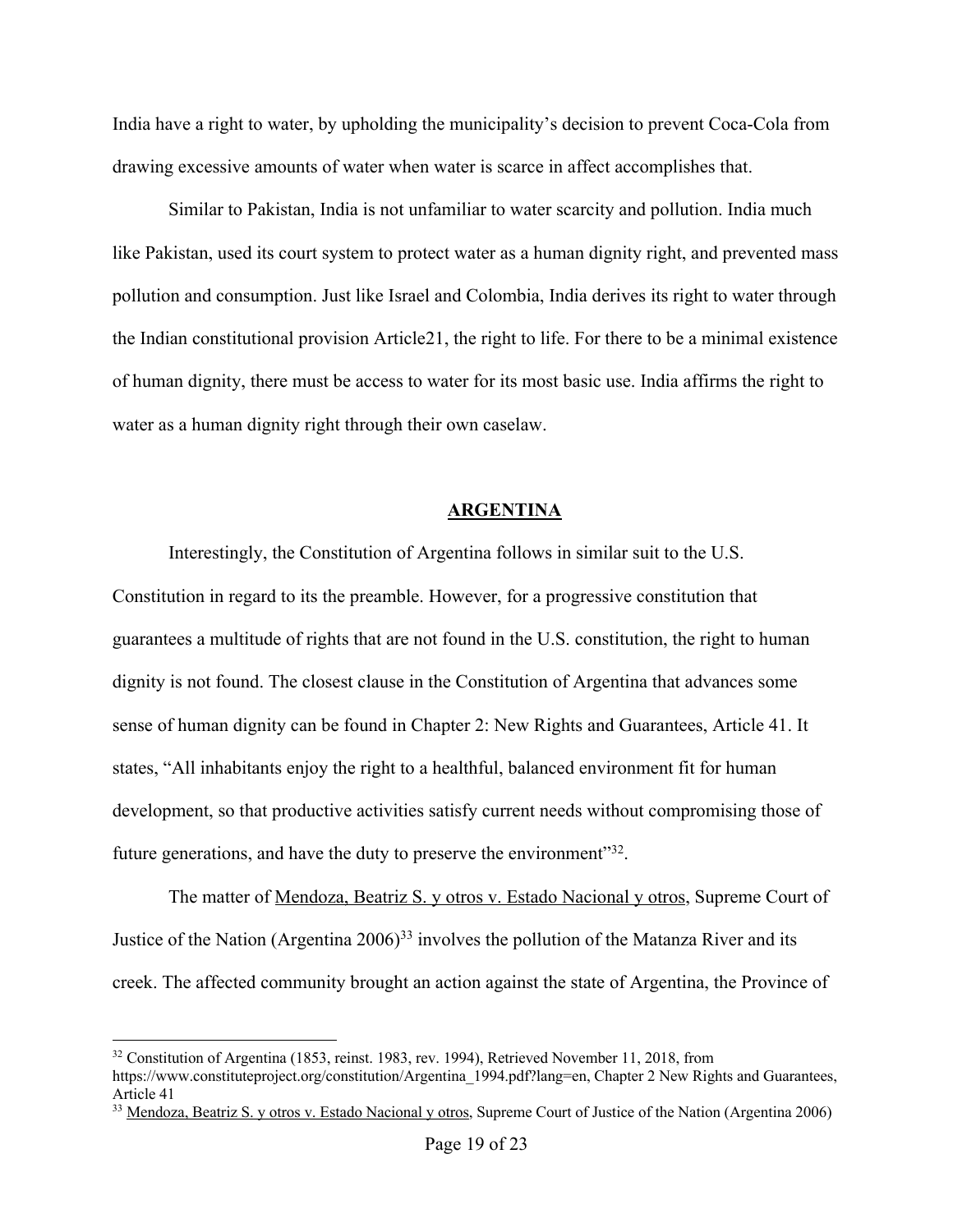India have a right to water, by upholding the municipality's decision to prevent Coca-Cola from drawing excessive amounts of water when water is scarce in affect accomplishes that.

Similar to Pakistan, India is not unfamiliar to water scarcity and pollution. India much like Pakistan, used its court system to protect water as a human dignity right, and prevented mass pollution and consumption. Just like Israel and Colombia, India derives its right to water through the Indian constitutional provision Article21, the right to life. For there to be a minimal existence of human dignity, there must be access to water for its most basic use. India affirms the right to water as a human dignity right through their own caselaw.

#### **ARGENTINA**

Interestingly, the Constitution of Argentina follows in similar suit to the U.S. Constitution in regard to its the preamble. However, for a progressive constitution that guarantees a multitude of rights that are not found in the U.S. constitution, the right to human dignity is not found. The closest clause in the Constitution of Argentina that advances some sense of human dignity can be found in Chapter 2: New Rights and Guarantees, Article 41. It states, "All inhabitants enjoy the right to a healthful, balanced environment fit for human development, so that productive activities satisfy current needs without compromising those of future generations, and have the duty to preserve the environment<sup>332</sup>.

The matter of <u>Mendoza, Beatriz S. y otros v. Estado Nacional y otros</u>, Supreme Court of Justice of the Nation (Argentina  $2006$ )<sup>33</sup> involves the pollution of the Matanza River and its creek. The affected community brought an action against the state of Argentina, the Province of

 <sup>32</sup> Constitution of Argentina (1853, reinst. 1983, rev. 1994), Retrieved November 11, 2018, from

https://www.constituteproject.org/constitution/Argentina\_1994.pdf?lang=en, Chapter 2 New Rights and Guarantees, Article 41

<sup>&</sup>lt;sup>33</sup> Mendoza, Beatriz S. y otros v. Estado Nacional y otros, Supreme Court of Justice of the Nation (Argentina 2006)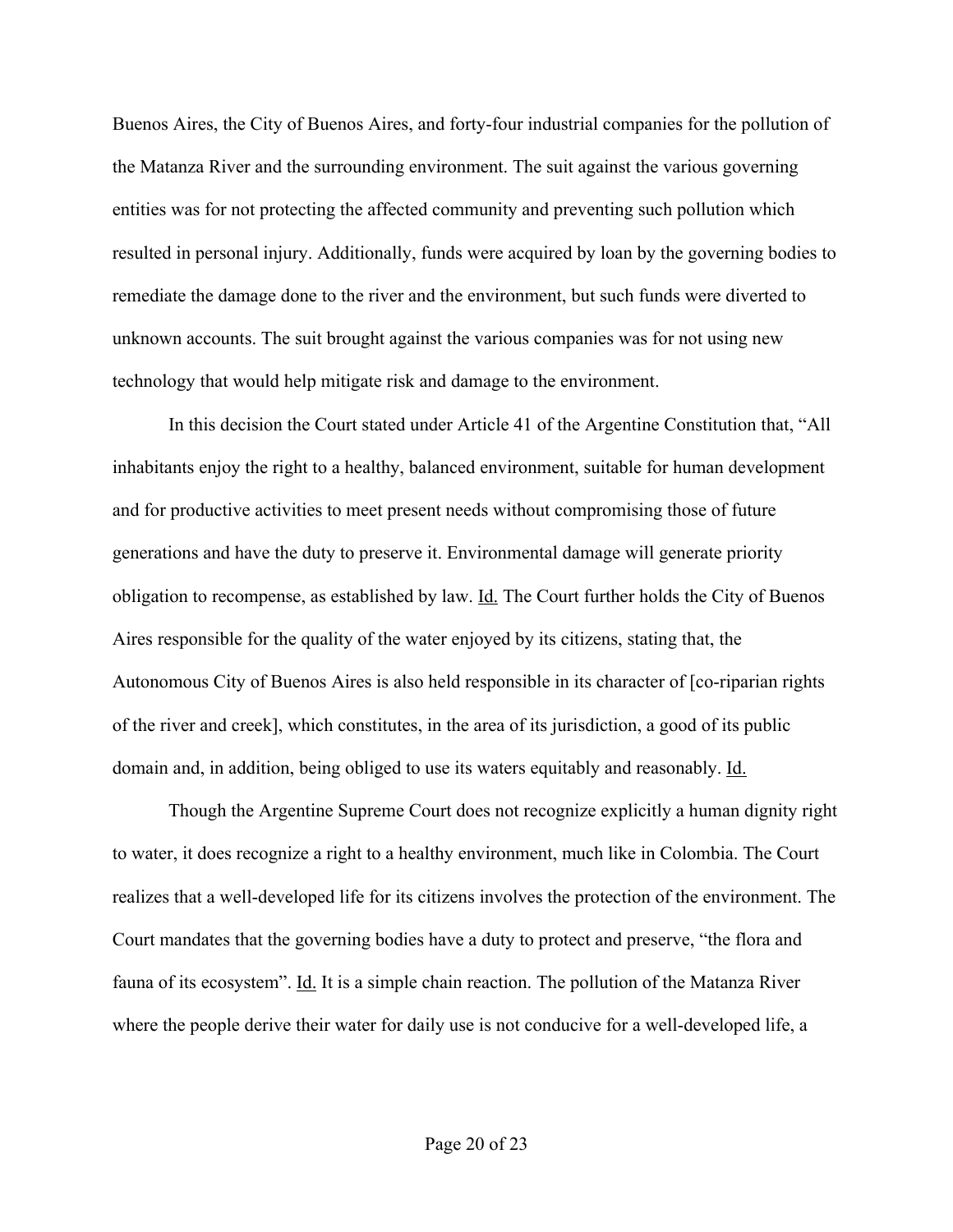Buenos Aires, the City of Buenos Aires, and forty-four industrial companies for the pollution of the Matanza River and the surrounding environment. The suit against the various governing entities was for not protecting the affected community and preventing such pollution which resulted in personal injury. Additionally, funds were acquired by loan by the governing bodies to remediate the damage done to the river and the environment, but such funds were diverted to unknown accounts. The suit brought against the various companies was for not using new technology that would help mitigate risk and damage to the environment.

In this decision the Court stated under Article 41 of the Argentine Constitution that, "All inhabitants enjoy the right to a healthy, balanced environment, suitable for human development and for productive activities to meet present needs without compromising those of future generations and have the duty to preserve it. Environmental damage will generate priority obligation to recompense, as established by law. Id. The Court further holds the City of Buenos Aires responsible for the quality of the water enjoyed by its citizens, stating that, the Autonomous City of Buenos Aires is also held responsible in its character of [co-riparian rights of the river and creek], which constitutes, in the area of its jurisdiction, a good of its public domain and, in addition, being obliged to use its waters equitably and reasonably. Id.

Though the Argentine Supreme Court does not recognize explicitly a human dignity right to water, it does recognize a right to a healthy environment, much like in Colombia. The Court realizes that a well-developed life for its citizens involves the protection of the environment. The Court mandates that the governing bodies have a duty to protect and preserve, "the flora and fauna of its ecosystem". Id. It is a simple chain reaction. The pollution of the Matanza River where the people derive their water for daily use is not conducive for a well-developed life, a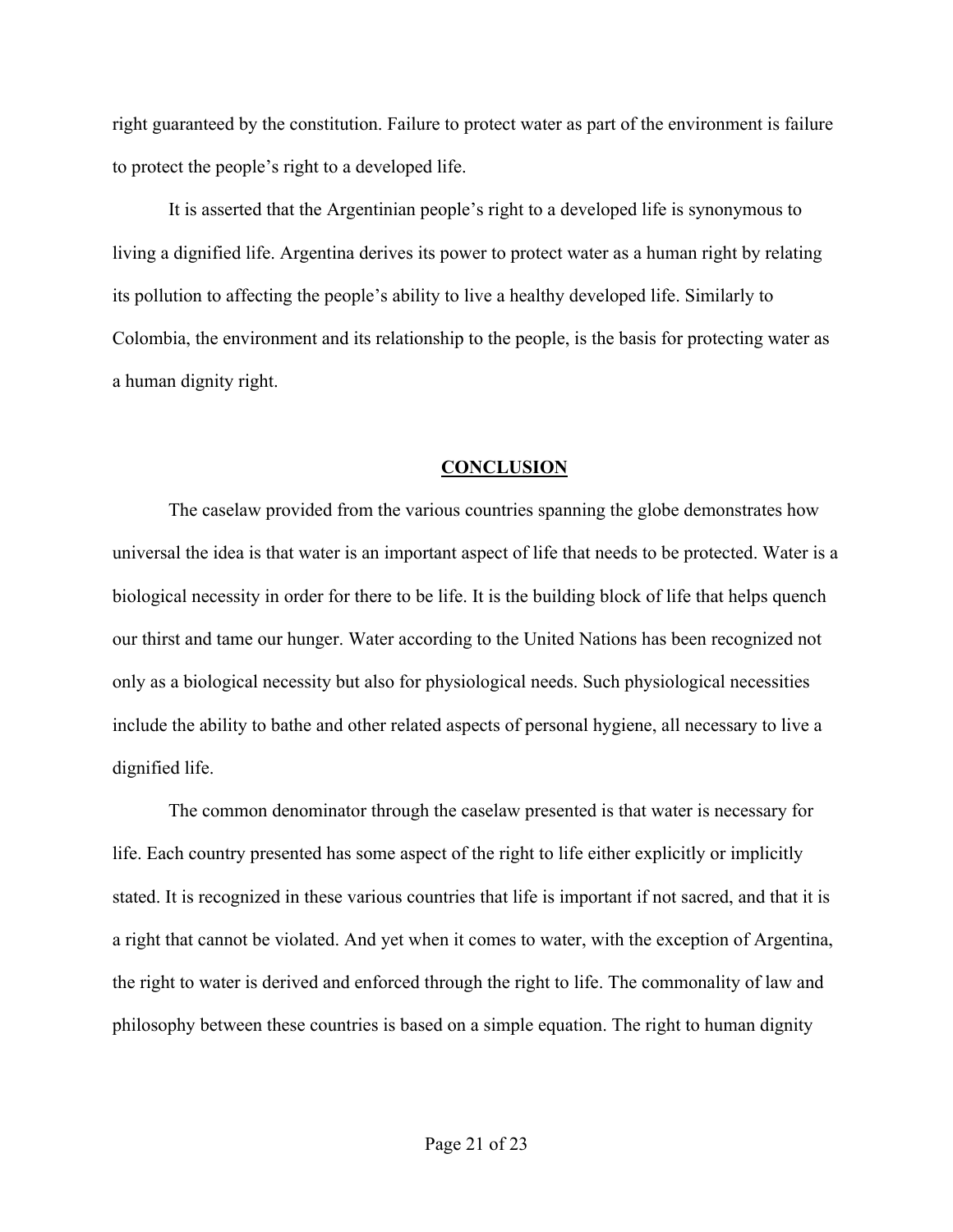right guaranteed by the constitution. Failure to protect water as part of the environment is failure to protect the people's right to a developed life.

It is asserted that the Argentinian people's right to a developed life is synonymous to living a dignified life. Argentina derives its power to protect water as a human right by relating its pollution to affecting the people's ability to live a healthy developed life. Similarly to Colombia, the environment and its relationship to the people, is the basis for protecting water as a human dignity right.

### **CONCLUSION**

The caselaw provided from the various countries spanning the globe demonstrates how universal the idea is that water is an important aspect of life that needs to be protected. Water is a biological necessity in order for there to be life. It is the building block of life that helps quench our thirst and tame our hunger. Water according to the United Nations has been recognized not only as a biological necessity but also for physiological needs. Such physiological necessities include the ability to bathe and other related aspects of personal hygiene, all necessary to live a dignified life.

The common denominator through the caselaw presented is that water is necessary for life. Each country presented has some aspect of the right to life either explicitly or implicitly stated. It is recognized in these various countries that life is important if not sacred, and that it is a right that cannot be violated. And yet when it comes to water, with the exception of Argentina, the right to water is derived and enforced through the right to life. The commonality of law and philosophy between these countries is based on a simple equation. The right to human dignity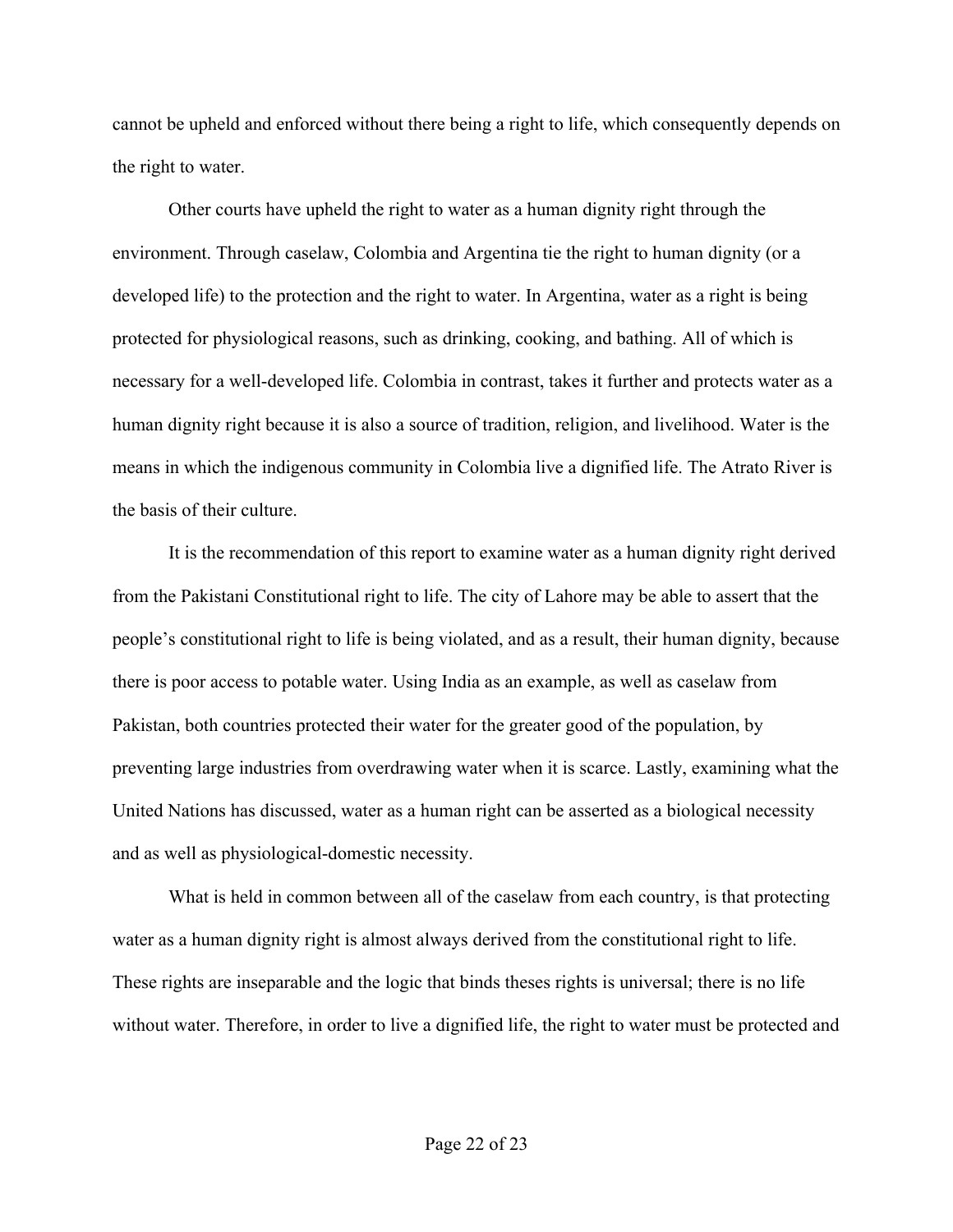cannot be upheld and enforced without there being a right to life, which consequently depends on the right to water.

Other courts have upheld the right to water as a human dignity right through the environment. Through caselaw, Colombia and Argentina tie the right to human dignity (or a developed life) to the protection and the right to water. In Argentina, water as a right is being protected for physiological reasons, such as drinking, cooking, and bathing. All of which is necessary for a well-developed life. Colombia in contrast, takes it further and protects water as a human dignity right because it is also a source of tradition, religion, and livelihood. Water is the means in which the indigenous community in Colombia live a dignified life. The Atrato River is the basis of their culture.

It is the recommendation of this report to examine water as a human dignity right derived from the Pakistani Constitutional right to life. The city of Lahore may be able to assert that the people's constitutional right to life is being violated, and as a result, their human dignity, because there is poor access to potable water. Using India as an example, as well as caselaw from Pakistan, both countries protected their water for the greater good of the population, by preventing large industries from overdrawing water when it is scarce. Lastly, examining what the United Nations has discussed, water as a human right can be asserted as a biological necessity and as well as physiological-domestic necessity.

What is held in common between all of the caselaw from each country, is that protecting water as a human dignity right is almost always derived from the constitutional right to life. These rights are inseparable and the logic that binds theses rights is universal; there is no life without water. Therefore, in order to live a dignified life, the right to water must be protected and